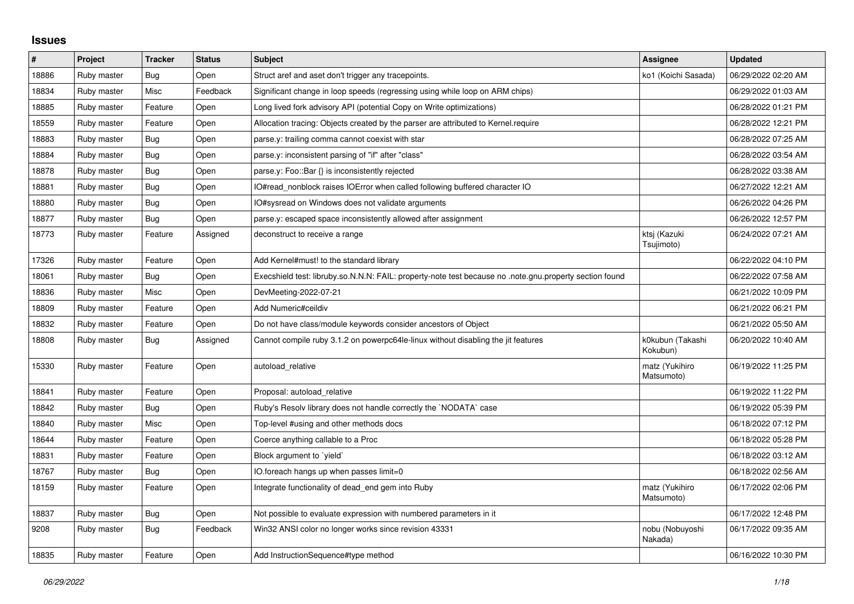## **Issues**

| $\pmb{\#}$ | Project     | <b>Tracker</b> | <b>Status</b> | <b>Subject</b>                                                                                          | Assignee                     | <b>Updated</b>      |
|------------|-------------|----------------|---------------|---------------------------------------------------------------------------------------------------------|------------------------------|---------------------|
| 18886      | Ruby master | Bug            | Open          | Struct aref and aset don't trigger any tracepoints.                                                     | ko1 (Koichi Sasada)          | 06/29/2022 02:20 AM |
| 18834      | Ruby master | Misc           | Feedback      | Significant change in loop speeds (regressing using while loop on ARM chips)                            |                              | 06/29/2022 01:03 AM |
| 18885      | Ruby master | Feature        | Open          | Long lived fork advisory API (potential Copy on Write optimizations)                                    |                              | 06/28/2022 01:21 PM |
| 18559      | Ruby master | Feature        | Open          | Allocation tracing: Objects created by the parser are attributed to Kernel.require                      |                              | 06/28/2022 12:21 PM |
| 18883      | Ruby master | Bug            | Open          | parse.y: trailing comma cannot coexist with star                                                        |                              | 06/28/2022 07:25 AM |
| 18884      | Ruby master | Bug            | Open          | parse.y: inconsistent parsing of "if" after "class"                                                     |                              | 06/28/2022 03:54 AM |
| 18878      | Ruby master | Bug            | Open          | parse.y: Foo::Bar {} is inconsistently rejected                                                         |                              | 06/28/2022 03:38 AM |
| 18881      | Ruby master | Bug            | Open          | IO#read_nonblock raises IOError when called following buffered character IO                             |                              | 06/27/2022 12:21 AM |
| 18880      | Ruby master | Bug            | Open          | IO#sysread on Windows does not validate arguments                                                       |                              | 06/26/2022 04:26 PM |
| 18877      | Ruby master | Bug            | Open          | parse.y: escaped space inconsistently allowed after assignment                                          |                              | 06/26/2022 12:57 PM |
| 18773      | Ruby master | Feature        | Assigned      | deconstruct to receive a range                                                                          | ktsj (Kazuki<br>Tsujimoto)   | 06/24/2022 07:21 AM |
| 17326      | Ruby master | Feature        | Open          | Add Kernel#must! to the standard library                                                                |                              | 06/22/2022 04:10 PM |
| 18061      | Ruby master | Bug            | Open          | Execshield test: libruby.so.N.N.N: FAIL: property-note test because no .note.gnu.property section found |                              | 06/22/2022 07:58 AM |
| 18836      | Ruby master | Misc           | Open          | DevMeeting-2022-07-21                                                                                   |                              | 06/21/2022 10:09 PM |
| 18809      | Ruby master | Feature        | Open          | Add Numeric#ceildiv                                                                                     |                              | 06/21/2022 06:21 PM |
| 18832      | Ruby master | Feature        | Open          | Do not have class/module keywords consider ancestors of Object                                          |                              | 06/21/2022 05:50 AM |
| 18808      | Ruby master | Bug            | Assigned      | Cannot compile ruby 3.1.2 on powerpc64le-linux without disabling the jit features                       | k0kubun (Takashi<br>Kokubun) | 06/20/2022 10:40 AM |
| 15330      | Ruby master | Feature        | Open          | autoload relative                                                                                       | matz (Yukihiro<br>Matsumoto) | 06/19/2022 11:25 PM |
| 18841      | Ruby master | Feature        | Open          | Proposal: autoload_relative                                                                             |                              | 06/19/2022 11:22 PM |
| 18842      | Ruby master | Bug            | Open          | Ruby's Resolv library does not handle correctly the `NODATA` case                                       |                              | 06/19/2022 05:39 PM |
| 18840      | Ruby master | Misc           | Open          | Top-level #using and other methods docs                                                                 |                              | 06/18/2022 07:12 PM |
| 18644      | Ruby master | Feature        | Open          | Coerce anything callable to a Proc                                                                      |                              | 06/18/2022 05:28 PM |
| 18831      | Ruby master | Feature        | Open          | Block argument to 'yield'                                                                               |                              | 06/18/2022 03:12 AM |
| 18767      | Ruby master | Bug            | Open          | IO.foreach hangs up when passes limit=0                                                                 |                              | 06/18/2022 02:56 AM |
| 18159      | Ruby master | Feature        | Open          | Integrate functionality of dead end gem into Ruby                                                       | matz (Yukihiro<br>Matsumoto) | 06/17/2022 02:06 PM |
| 18837      | Ruby master | <b>Bug</b>     | Open          | Not possible to evaluate expression with numbered parameters in it                                      |                              | 06/17/2022 12:48 PM |
| 9208       | Ruby master | Bug            | Feedback      | Win32 ANSI color no longer works since revision 43331                                                   | nobu (Nobuyoshi<br>Nakada)   | 06/17/2022 09:35 AM |
| 18835      | Ruby master | Feature        | Open          | Add InstructionSequence#type method                                                                     |                              | 06/16/2022 10:30 PM |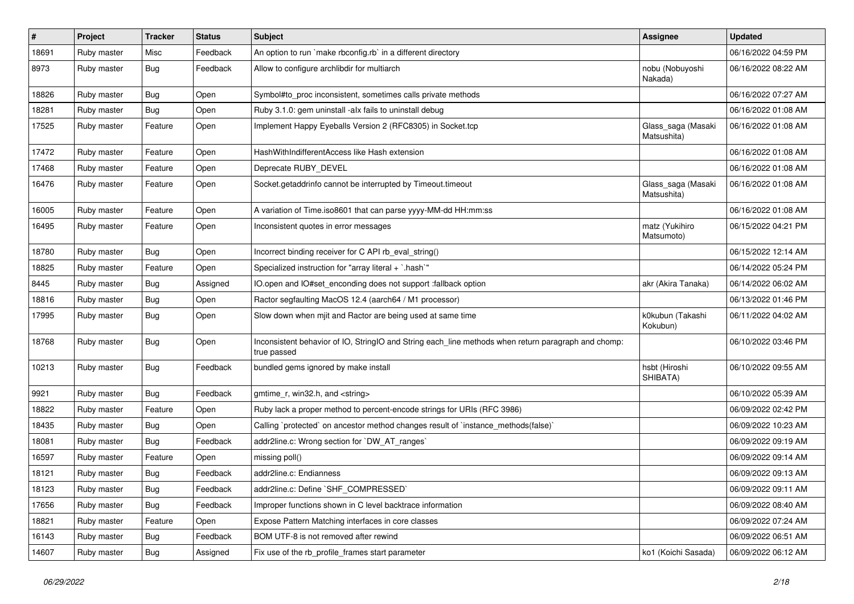| $\vert$ # | Project     | <b>Tracker</b> | <b>Status</b> | <b>Subject</b>                                                                                                     | <b>Assignee</b>                   | <b>Updated</b>      |
|-----------|-------------|----------------|---------------|--------------------------------------------------------------------------------------------------------------------|-----------------------------------|---------------------|
| 18691     | Ruby master | Misc           | Feedback      | An option to run `make rbconfig.rb` in a different directory                                                       |                                   | 06/16/2022 04:59 PM |
| 8973      | Ruby master | <b>Bug</b>     | Feedback      | Allow to configure archlibdir for multiarch                                                                        | nobu (Nobuyoshi<br>Nakada)        | 06/16/2022 08:22 AM |
| 18826     | Ruby master | Bug            | Open          | Symbol#to_proc inconsistent, sometimes calls private methods                                                       |                                   | 06/16/2022 07:27 AM |
| 18281     | Ruby master | Bug            | Open          | Ruby 3.1.0: gem uninstall -alx fails to uninstall debug                                                            |                                   | 06/16/2022 01:08 AM |
| 17525     | Ruby master | Feature        | Open          | Implement Happy Eyeballs Version 2 (RFC8305) in Socket.tcp                                                         | Glass_saga (Masaki<br>Matsushita) | 06/16/2022 01:08 AM |
| 17472     | Ruby master | Feature        | Open          | HashWithIndifferentAccess like Hash extension                                                                      |                                   | 06/16/2022 01:08 AM |
| 17468     | Ruby master | Feature        | Open          | Deprecate RUBY_DEVEL                                                                                               |                                   | 06/16/2022 01:08 AM |
| 16476     | Ruby master | Feature        | Open          | Socket.getaddrinfo cannot be interrupted by Timeout.timeout                                                        | Glass_saga (Masaki<br>Matsushita) | 06/16/2022 01:08 AM |
| 16005     | Ruby master | Feature        | Open          | A variation of Time.iso8601 that can parse yyyy-MM-dd HH:mm:ss                                                     |                                   | 06/16/2022 01:08 AM |
| 16495     | Ruby master | Feature        | Open          | Inconsistent quotes in error messages                                                                              | matz (Yukihiro<br>Matsumoto)      | 06/15/2022 04:21 PM |
| 18780     | Ruby master | Bug            | Open          | Incorrect binding receiver for C API rb_eval_string()                                                              |                                   | 06/15/2022 12:14 AM |
| 18825     | Ruby master | Feature        | Open          | Specialized instruction for "array literal + `.hash`"                                                              |                                   | 06/14/2022 05:24 PM |
| 8445      | Ruby master | Bug            | Assigned      | IO.open and IO#set_enconding does not support :fallback option                                                     | akr (Akira Tanaka)                | 06/14/2022 06:02 AM |
| 18816     | Ruby master | <b>Bug</b>     | Open          | Ractor segfaulting MacOS 12.4 (aarch64 / M1 processor)                                                             |                                   | 06/13/2022 01:46 PM |
| 17995     | Ruby master | Bug            | Open          | Slow down when mjit and Ractor are being used at same time                                                         | k0kubun (Takashi<br>Kokubun)      | 06/11/2022 04:02 AM |
| 18768     | Ruby master | <b>Bug</b>     | Open          | Inconsistent behavior of IO, StringIO and String each_line methods when return paragraph and chomp:<br>true passed |                                   | 06/10/2022 03:46 PM |
| 10213     | Ruby master | <b>Bug</b>     | Feedback      | bundled gems ignored by make install                                                                               | hsbt (Hiroshi<br>SHIBATA)         | 06/10/2022 09:55 AM |
| 9921      | Ruby master | <b>Bug</b>     | Feedback      | gmtime_r, win32.h, and <string></string>                                                                           |                                   | 06/10/2022 05:39 AM |
| 18822     | Ruby master | Feature        | Open          | Ruby lack a proper method to percent-encode strings for URIs (RFC 3986)                                            |                                   | 06/09/2022 02:42 PM |
| 18435     | Ruby master | <b>Bug</b>     | Open          | Calling `protected` on ancestor method changes result of `instance_methods(false)`                                 |                                   | 06/09/2022 10:23 AM |
| 18081     | Ruby master | <b>Bug</b>     | Feedback      | addr2line.c: Wrong section for `DW_AT_ranges`                                                                      |                                   | 06/09/2022 09:19 AM |
| 16597     | Ruby master | Feature        | Open          | missing poll()                                                                                                     |                                   | 06/09/2022 09:14 AM |
| 18121     | Ruby master | <b>Bug</b>     | Feedback      | addr2line.c: Endianness                                                                                            |                                   | 06/09/2022 09:13 AM |
| 18123     | Ruby master | <b>Bug</b>     | Feedback      | addr2line.c: Define `SHF_COMPRESSED`                                                                               |                                   | 06/09/2022 09:11 AM |
| 17656     | Ruby master | Bug            | Feedback      | Improper functions shown in C level backtrace information                                                          |                                   | 06/09/2022 08:40 AM |
| 18821     | Ruby master | Feature        | Open          | Expose Pattern Matching interfaces in core classes                                                                 |                                   | 06/09/2022 07:24 AM |
| 16143     | Ruby master | <b>Bug</b>     | Feedback      | BOM UTF-8 is not removed after rewind                                                                              |                                   | 06/09/2022 06:51 AM |
| 14607     | Ruby master | <b>Bug</b>     | Assigned      | Fix use of the rb_profile_frames start parameter                                                                   | ko1 (Koichi Sasada)               | 06/09/2022 06:12 AM |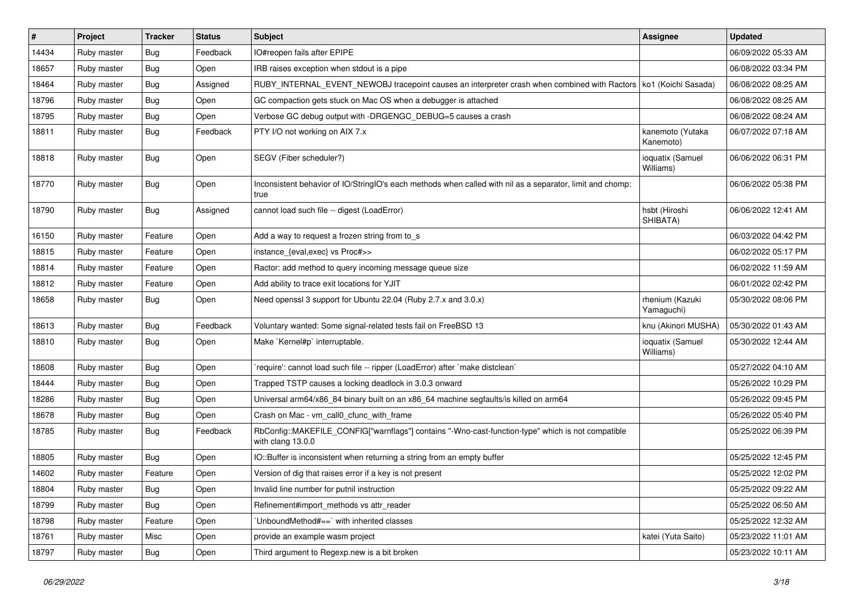| $\vert$ # | Project     | <b>Tracker</b> | <b>Status</b> | Subject                                                                                                                | <b>Assignee</b>               | <b>Updated</b>      |
|-----------|-------------|----------------|---------------|------------------------------------------------------------------------------------------------------------------------|-------------------------------|---------------------|
| 14434     | Ruby master | <b>Bug</b>     | Feedback      | IO#reopen fails after EPIPE                                                                                            |                               | 06/09/2022 05:33 AM |
| 18657     | Ruby master | Bug            | Open          | IRB raises exception when stdout is a pipe                                                                             |                               | 06/08/2022 03:34 PM |
| 18464     | Ruby master | Bug            | Assigned      | RUBY_INTERNAL_EVENT_NEWOBJ tracepoint causes an interpreter crash when combined with Ractors   ko1 (Koichi Sasada)     |                               | 06/08/2022 08:25 AM |
| 18796     | Ruby master | <b>Bug</b>     | Open          | GC compaction gets stuck on Mac OS when a debugger is attached                                                         |                               | 06/08/2022 08:25 AM |
| 18795     | Ruby master | <b>Bug</b>     | Open          | Verbose GC debug output with -DRGENGC_DEBUG=5 causes a crash                                                           |                               | 06/08/2022 08:24 AM |
| 18811     | Ruby master | <b>Bug</b>     | Feedback      | PTY I/O not working on AIX 7.x                                                                                         | kanemoto (Yutaka<br>Kanemoto) | 06/07/2022 07:18 AM |
| 18818     | Ruby master | Bug            | Open          | SEGV (Fiber scheduler?)                                                                                                | ioquatix (Samuel<br>Williams) | 06/06/2022 06:31 PM |
| 18770     | Ruby master | <b>Bug</b>     | Open          | Inconsistent behavior of IO/StringIO's each methods when called with nil as a separator, limit and chomp:<br>true      |                               | 06/06/2022 05:38 PM |
| 18790     | Ruby master | <b>Bug</b>     | Assigned      | cannot load such file -- digest (LoadError)                                                                            | hsbt (Hiroshi<br>SHIBATA)     | 06/06/2022 12:41 AM |
| 16150     | Ruby master | Feature        | Open          | Add a way to request a frozen string from to s                                                                         |                               | 06/03/2022 04:42 PM |
| 18815     | Ruby master | Feature        | Open          | instance_{eval,exec} vs Proc#>>                                                                                        |                               | 06/02/2022 05:17 PM |
| 18814     | Ruby master | Feature        | Open          | Ractor: add method to query incoming message queue size                                                                |                               | 06/02/2022 11:59 AM |
| 18812     | Ruby master | Feature        | Open          | Add ability to trace exit locations for YJIT                                                                           |                               | 06/01/2022 02:42 PM |
| 18658     | Ruby master | <b>Bug</b>     | Open          | Need openssl 3 support for Ubuntu 22.04 (Ruby 2.7.x and 3.0.x)                                                         | rhenium (Kazuki<br>Yamaguchi) | 05/30/2022 08:06 PM |
| 18613     | Ruby master | <b>Bug</b>     | Feedback      | Voluntary wanted: Some signal-related tests fail on FreeBSD 13                                                         | knu (Akinori MUSHA)           | 05/30/2022 01:43 AM |
| 18810     | Ruby master | <b>Bug</b>     | Open          | Make `Kernel#p` interruptable.                                                                                         | ioquatix (Samuel<br>Williams) | 05/30/2022 12:44 AM |
| 18608     | Ruby master | <b>Bug</b>     | Open          | require': cannot load such file -- ripper (LoadError) after `make distclean`                                           |                               | 05/27/2022 04:10 AM |
| 18444     | Ruby master | <b>Bug</b>     | Open          | Trapped TSTP causes a locking deadlock in 3.0.3 onward                                                                 |                               | 05/26/2022 10:29 PM |
| 18286     | Ruby master | <b>Bug</b>     | Open          | Universal arm64/x86_84 binary built on an x86_64 machine segfaults/is killed on arm64                                  |                               | 05/26/2022 09:45 PM |
| 18678     | Ruby master | <b>Bug</b>     | Open          | Crash on Mac - vm_call0_cfunc_with_frame                                                                               |                               | 05/26/2022 05:40 PM |
| 18785     | Ruby master | Bug            | Feedback      | RbConfig::MAKEFILE_CONFIG["warnflags"] contains "-Wno-cast-function-type" which is not compatible<br>with clang 13.0.0 |                               | 05/25/2022 06:39 PM |
| 18805     | Ruby master | Bug            | Open          | IO::Buffer is inconsistent when returning a string from an empty buffer                                                |                               | 05/25/2022 12:45 PM |
| 14602     | Ruby master | Feature        | Open          | Version of dig that raises error if a key is not present                                                               |                               | 05/25/2022 12:02 PM |
| 18804     | Ruby master | Bug            | Open          | Invalid line number for putnil instruction                                                                             |                               | 05/25/2022 09:22 AM |
| 18799     | Ruby master | <b>Bug</b>     | Open          | Refinement#import_methods vs attr_reader                                                                               |                               | 05/25/2022 06:50 AM |
| 18798     | Ruby master | Feature        | Open          | 'UnboundMethod#==' with inherited classes                                                                              |                               | 05/25/2022 12:32 AM |
| 18761     | Ruby master | Misc           | Open          | provide an example wasm project                                                                                        | katei (Yuta Saito)            | 05/23/2022 11:01 AM |
| 18797     | Ruby master | <b>Bug</b>     | Open          | Third argument to Regexp.new is a bit broken                                                                           |                               | 05/23/2022 10:11 AM |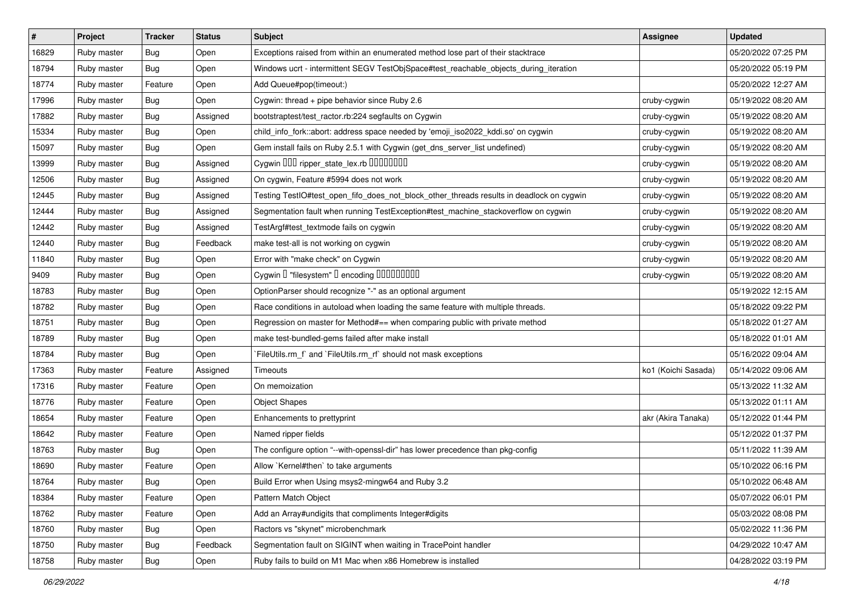| $\vert$ # | Project     | <b>Tracker</b> | <b>Status</b> | Subject                                                                                  | <b>Assignee</b>     | <b>Updated</b>      |
|-----------|-------------|----------------|---------------|------------------------------------------------------------------------------------------|---------------------|---------------------|
| 16829     | Ruby master | <b>Bug</b>     | Open          | Exceptions raised from within an enumerated method lose part of their stacktrace         |                     | 05/20/2022 07:25 PM |
| 18794     | Ruby master | Bug            | Open          | Windows ucrt - intermittent SEGV TestObjSpace#test_reachable_objects_during_iteration    |                     | 05/20/2022 05:19 PM |
| 18774     | Ruby master | Feature        | Open          | Add Queue#pop(timeout:)                                                                  |                     | 05/20/2022 12:27 AM |
| 17996     | Ruby master | <b>Bug</b>     | Open          | Cygwin: thread + pipe behavior since Ruby 2.6                                            | cruby-cygwin        | 05/19/2022 08:20 AM |
| 17882     | Ruby master | Bug            | Assigned      | bootstraptest/test_ractor.rb:224 segfaults on Cygwin                                     | cruby-cygwin        | 05/19/2022 08:20 AM |
| 15334     | Ruby master | <b>Bug</b>     | Open          | child_info_fork::abort: address space needed by 'emoji_iso2022_kddi.so' on cygwin        | cruby-cygwin        | 05/19/2022 08:20 AM |
| 15097     | Ruby master | <b>Bug</b>     | Open          | Gem install fails on Ruby 2.5.1 with Cygwin (get_dns_server_list undefined)              | cruby-cygwin        | 05/19/2022 08:20 AM |
| 13999     | Ruby master | Bug            | Assigned      | Cygwin DDD ripper_state_lex.rb DDDDDDDD                                                  | cruby-cygwin        | 05/19/2022 08:20 AM |
| 12506     | Ruby master | <b>Bug</b>     | Assigned      | On cygwin, Feature #5994 does not work                                                   | cruby-cygwin        | 05/19/2022 08:20 AM |
| 12445     | Ruby master | <b>Bug</b>     | Assigned      | Testing TestIO#test_open_fifo_does_not_block_other_threads results in deadlock on cygwin | cruby-cygwin        | 05/19/2022 08:20 AM |
| 12444     | Ruby master | Bug            | Assigned      | Segmentation fault when running TestException#test_machine_stackoverflow on cygwin       | cruby-cygwin        | 05/19/2022 08:20 AM |
| 12442     | Ruby master | <b>Bug</b>     | Assigned      | TestArgf#test_textmode fails on cygwin                                                   | cruby-cygwin        | 05/19/2022 08:20 AM |
| 12440     | Ruby master | <b>Bug</b>     | Feedback      | make test-all is not working on cygwin                                                   | cruby-cygwin        | 05/19/2022 08:20 AM |
| 11840     | Ruby master | <b>Bug</b>     | Open          | Error with "make check" on Cygwin                                                        | cruby-cygwin        | 05/19/2022 08:20 AM |
| 9409      | Ruby master | <b>Bug</b>     | Open          | Cygwin I "filesystem" I encoding IIIIIIIIIIIII                                           | cruby-cygwin        | 05/19/2022 08:20 AM |
| 18783     | Ruby master | Bug            | Open          | OptionParser should recognize "-" as an optional argument                                |                     | 05/19/2022 12:15 AM |
| 18782     | Ruby master | <b>Bug</b>     | Open          | Race conditions in autoload when loading the same feature with multiple threads.         |                     | 05/18/2022 09:22 PM |
| 18751     | Ruby master | Bug            | Open          | Regression on master for Method#== when comparing public with private method             |                     | 05/18/2022 01:27 AM |
| 18789     | Ruby master | <b>Bug</b>     | Open          | make test-bundled-gems failed after make install                                         |                     | 05/18/2022 01:01 AM |
| 18784     | Ruby master | <b>Bug</b>     | Open          | FileUtils.rm_f` and `FileUtils.rm_rf` should not mask exceptions                         |                     | 05/16/2022 09:04 AM |
| 17363     | Ruby master | Feature        | Assigned      | Timeouts                                                                                 | ko1 (Koichi Sasada) | 05/14/2022 09:06 AM |
| 17316     | Ruby master | Feature        | Open          | On memoization                                                                           |                     | 05/13/2022 11:32 AM |
| 18776     | Ruby master | Feature        | Open          | <b>Object Shapes</b>                                                                     |                     | 05/13/2022 01:11 AM |
| 18654     | Ruby master | Feature        | Open          | Enhancements to prettyprint                                                              | akr (Akira Tanaka)  | 05/12/2022 01:44 PM |
| 18642     | Ruby master | Feature        | Open          | Named ripper fields                                                                      |                     | 05/12/2022 01:37 PM |
| 18763     | Ruby master | <b>Bug</b>     | Open          | The configure option "--with-openssl-dir" has lower precedence than pkg-config           |                     | 05/11/2022 11:39 AM |
| 18690     | Ruby master | Feature        | Open          | Allow `Kernel#then` to take arguments                                                    |                     | 05/10/2022 06:16 PM |
| 18764     | Ruby master | <b>Bug</b>     | Open          | Build Error when Using msys2-mingw64 and Ruby 3.2                                        |                     | 05/10/2022 06:48 AM |
| 18384     | Ruby master | Feature        | Open          | Pattern Match Object                                                                     |                     | 05/07/2022 06:01 PM |
| 18762     | Ruby master | Feature        | Open          | Add an Array#undigits that compliments Integer#digits                                    |                     | 05/03/2022 08:08 PM |
| 18760     | Ruby master | Bug            | Open          | Ractors vs "skynet" microbenchmark                                                       |                     | 05/02/2022 11:36 PM |
| 18750     | Ruby master | <b>Bug</b>     | Feedback      | Segmentation fault on SIGINT when waiting in TracePoint handler                          |                     | 04/29/2022 10:47 AM |
| 18758     | Ruby master | <b>Bug</b>     | Open          | Ruby fails to build on M1 Mac when x86 Homebrew is installed                             |                     | 04/28/2022 03:19 PM |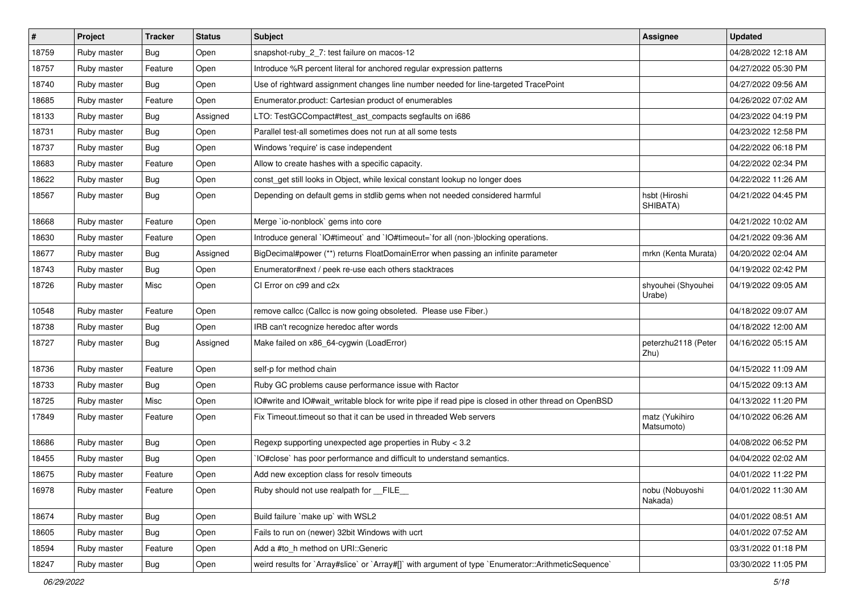| $\vert$ # | Project     | <b>Tracker</b> | <b>Status</b> | <b>Subject</b>                                                                                       | <b>Assignee</b>              | <b>Updated</b>      |
|-----------|-------------|----------------|---------------|------------------------------------------------------------------------------------------------------|------------------------------|---------------------|
| 18759     | Ruby master | Bug            | Open          | snapshot-ruby 2 7: test failure on macos-12                                                          |                              | 04/28/2022 12:18 AM |
| 18757     | Ruby master | Feature        | Open          | Introduce %R percent literal for anchored regular expression patterns                                |                              | 04/27/2022 05:30 PM |
| 18740     | Ruby master | Bug            | Open          | Use of rightward assignment changes line number needed for line-targeted TracePoint                  |                              | 04/27/2022 09:56 AM |
| 18685     | Ruby master | Feature        | Open          | Enumerator.product: Cartesian product of enumerables                                                 |                              | 04/26/2022 07:02 AM |
| 18133     | Ruby master | Bug            | Assigned      | LTO: TestGCCompact#test_ast_compacts segfaults on i686                                               |                              | 04/23/2022 04:19 PM |
| 18731     | Ruby master | <b>Bug</b>     | Open          | Parallel test-all sometimes does not run at all some tests                                           |                              | 04/23/2022 12:58 PM |
| 18737     | Ruby master | Bug            | Open          | Windows 'require' is case independent                                                                |                              | 04/22/2022 06:18 PM |
| 18683     | Ruby master | Feature        | Open          | Allow to create hashes with a specific capacity.                                                     |                              | 04/22/2022 02:34 PM |
| 18622     | Ruby master | <b>Bug</b>     | Open          | const_get still looks in Object, while lexical constant lookup no longer does                        |                              | 04/22/2022 11:26 AM |
| 18567     | Ruby master | Bug            | Open          | Depending on default gems in stdlib gems when not needed considered harmful                          | hsbt (Hiroshi<br>SHIBATA)    | 04/21/2022 04:45 PM |
| 18668     | Ruby master | Feature        | Open          | Merge `io-nonblock` gems into core                                                                   |                              | 04/21/2022 10:02 AM |
| 18630     | Ruby master | Feature        | Open          | Introduce general 'IO#timeout' and 'IO#timeout='for all (non-)blocking operations.                   |                              | 04/21/2022 09:36 AM |
| 18677     | Ruby master | <b>Bug</b>     | Assigned      | BigDecimal#power (**) returns FloatDomainError when passing an infinite parameter                    | mrkn (Kenta Murata)          | 04/20/2022 02:04 AM |
| 18743     | Ruby master | Bug            | Open          | Enumerator#next / peek re-use each others stacktraces                                                |                              | 04/19/2022 02:42 PM |
| 18726     | Ruby master | Misc           | Open          | CI Error on c99 and c2x                                                                              | shyouhei (Shyouhei<br>Urabe) | 04/19/2022 09:05 AM |
| 10548     | Ruby master | Feature        | Open          | remove callcc (Callcc is now going obsoleted. Please use Fiber.)                                     |                              | 04/18/2022 09:07 AM |
| 18738     | Ruby master | <b>Bug</b>     | Open          | IRB can't recognize heredoc after words                                                              |                              | 04/18/2022 12:00 AM |
| 18727     | Ruby master | Bug            | Assigned      | Make failed on x86_64-cygwin (LoadError)                                                             | peterzhu2118 (Peter<br>Zhu)  | 04/16/2022 05:15 AM |
| 18736     | Ruby master | Feature        | Open          | self-p for method chain                                                                              |                              | 04/15/2022 11:09 AM |
| 18733     | Ruby master | Bug            | Open          | Ruby GC problems cause performance issue with Ractor                                                 |                              | 04/15/2022 09:13 AM |
| 18725     | Ruby master | Misc           | Open          | IO#write and IO#wait_writable block for write pipe if read pipe is closed in other thread on OpenBSD |                              | 04/13/2022 11:20 PM |
| 17849     | Ruby master | Feature        | Open          | Fix Timeout.timeout so that it can be used in threaded Web servers                                   | matz (Yukihiro<br>Matsumoto) | 04/10/2022 06:26 AM |
| 18686     | Ruby master | Bug            | Open          | Regexp supporting unexpected age properties in Ruby < 3.2                                            |                              | 04/08/2022 06:52 PM |
| 18455     | Ruby master | <b>Bug</b>     | Open          | IO#close` has poor performance and difficult to understand semantics.                                |                              | 04/04/2022 02:02 AM |
| 18675     | Ruby master | Feature        | Open          | Add new exception class for resolv timeouts                                                          |                              | 04/01/2022 11:22 PM |
| 16978     | Ruby master | Feature        | Open          | Ruby should not use realpath for __FILE__                                                            | nobu (Nobuyoshi<br>Nakada)   | 04/01/2022 11:30 AM |
| 18674     | Ruby master | <b>Bug</b>     | Open          | Build failure `make up` with WSL2                                                                    |                              | 04/01/2022 08:51 AM |
| 18605     | Ruby master | Bug            | Open          | Fails to run on (newer) 32bit Windows with ucrt                                                      |                              | 04/01/2022 07:52 AM |
| 18594     | Ruby master | Feature        | Open          | Add a #to_h method on URI::Generic                                                                   |                              | 03/31/2022 01:18 PM |
| 18247     | Ruby master | <b>Bug</b>     | Open          | weird results for `Array#slice` or `Array#[]` with argument of type `Enumerator::ArithmeticSequence` |                              | 03/30/2022 11:05 PM |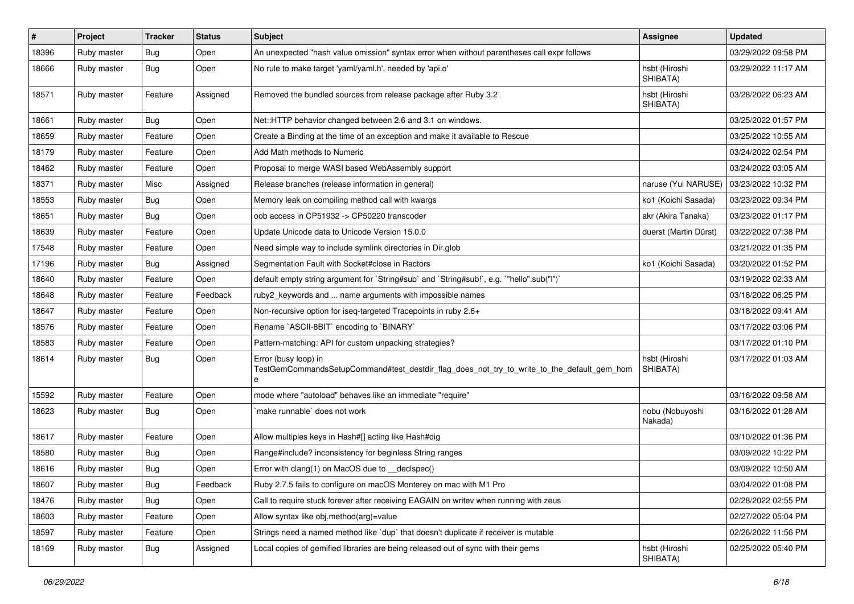| $\sharp$ | Project     | <b>Tracker</b> | <b>Status</b> | <b>Subject</b>                                                                                                          | <b>Assignee</b>            | <b>Updated</b>      |
|----------|-------------|----------------|---------------|-------------------------------------------------------------------------------------------------------------------------|----------------------------|---------------------|
| 18396    | Ruby master | <b>Bug</b>     | Open          | An unexpected "hash value omission" syntax error when without parentheses call expr follows                             |                            | 03/29/2022 09:58 PM |
| 18666    | Ruby master | <b>Bug</b>     | Open          | No rule to make target 'yaml/yaml.h', needed by 'api.o'                                                                 | hsbt (Hiroshi<br>SHIBATA)  | 03/29/2022 11:17 AM |
| 18571    | Ruby master | Feature        | Assigned      | Removed the bundled sources from release package after Ruby 3.2                                                         | hsbt (Hiroshi<br>SHIBATA)  | 03/28/2022 06:23 AM |
| 18661    | Ruby master | <b>Bug</b>     | Open          | Net::HTTP behavior changed between 2.6 and 3.1 on windows.                                                              |                            | 03/25/2022 01:57 PM |
| 18659    | Ruby master | Feature        | Open          | Create a Binding at the time of an exception and make it available to Rescue                                            |                            | 03/25/2022 10:55 AM |
| 18179    | Ruby master | Feature        | Open          | Add Math methods to Numeric                                                                                             |                            | 03/24/2022 02:54 PM |
| 18462    | Ruby master | Feature        | Open          | Proposal to merge WASI based WebAssembly support                                                                        |                            | 03/24/2022 03:05 AM |
| 18371    | Ruby master | Misc           | Assigned      | Release branches (release information in general)                                                                       | naruse (Yui NARUSE)        | 03/23/2022 10:32 PM |
| 18553    | Ruby master | <b>Bug</b>     | Open          | Memory leak on compiling method call with kwargs                                                                        | ko1 (Koichi Sasada)        | 03/23/2022 09:34 PM |
| 18651    | Ruby master | <b>Bug</b>     | Open          | oob access in CP51932 -> CP50220 transcoder                                                                             | akr (Akira Tanaka)         | 03/23/2022 01:17 PM |
| 18639    | Ruby master | Feature        | Open          | Update Unicode data to Unicode Version 15.0.0                                                                           | duerst (Martin Dürst)      | 03/22/2022 07:38 PM |
| 17548    | Ruby master | Feature        | Open          | Need simple way to include symlink directories in Dir.glob                                                              |                            | 03/21/2022 01:35 PM |
| 17196    | Ruby master | <b>Bug</b>     | Assigned      | Segmentation Fault with Socket#close in Ractors                                                                         | ko1 (Koichi Sasada)        | 03/20/2022 01:52 PM |
| 18640    | Ruby master | Feature        | Open          | default empty string argument for `String#sub` and `String#sub!`, e.g. `"hello".sub("I")`                               |                            | 03/19/2022 02:33 AM |
| 18648    | Ruby master | Feature        | Feedback      | ruby2_keywords and  name arguments with impossible names                                                                |                            | 03/18/2022 06:25 PM |
| 18647    | Ruby master | Feature        | Open          | Non-recursive option for iseq-targeted Tracepoints in ruby 2.6+                                                         |                            | 03/18/2022 09:41 AM |
| 18576    | Ruby master | Feature        | Open          | Rename `ASCII-8BIT` encoding to `BINARY`                                                                                |                            | 03/17/2022 03:06 PM |
| 18583    | Ruby master | Feature        | Open          | Pattern-matching: API for custom unpacking strategies?                                                                  |                            | 03/17/2022 01:10 PM |
| 18614    | Ruby master | Bug            | Open          | Error (busy loop) in<br>TestGemCommandsSetupCommand#test_destdir_flag_does_not_try_to_write_to_the_default_gem_hom<br>e | hsbt (Hiroshi<br>SHIBATA)  | 03/17/2022 01:03 AM |
| 15592    | Ruby master | Feature        | Open          | mode where "autoload" behaves like an immediate "require"                                                               |                            | 03/16/2022 09:58 AM |
| 18623    | Ruby master | <b>Bug</b>     | Open          | make runnable' does not work                                                                                            | nobu (Nobuyoshi<br>Nakada) | 03/16/2022 01:28 AM |
| 18617    | Ruby master | Feature        | Open          | Allow multiples keys in Hash#[] acting like Hash#dig                                                                    |                            | 03/10/2022 01:36 PM |
| 18580    | Ruby master | <b>Bug</b>     | Open          | Range#include? inconsistency for beginless String ranges                                                                |                            | 03/09/2022 10:22 PM |
| 18616    | Ruby master | <b>Bug</b>     | Open          | Error with clang(1) on MacOS due to _declspec()                                                                         |                            | 03/09/2022 10:50 AM |
| 18607    | Ruby master | Bug            | Feedback      | Ruby 2.7.5 fails to configure on macOS Monterey on mac with M1 Pro                                                      |                            | 03/04/2022 01:08 PM |
| 18476    | Ruby master | <b>Bug</b>     | Open          | Call to require stuck forever after receiving EAGAIN on writev when running with zeus                                   |                            | 02/28/2022 02:55 PM |
| 18603    | Ruby master | Feature        | Open          | Allow syntax like obj.method(arg)=value                                                                                 |                            | 02/27/2022 05:04 PM |
| 18597    | Ruby master | Feature        | Open          | Strings need a named method like 'dup' that doesn't duplicate if receiver is mutable                                    |                            | 02/26/2022 11:56 PM |
| 18169    | Ruby master | <b>Bug</b>     | Assigned      | Local copies of gemified libraries are being released out of sync with their gems                                       | hsbt (Hiroshi<br>SHIBATA)  | 02/25/2022 05:40 PM |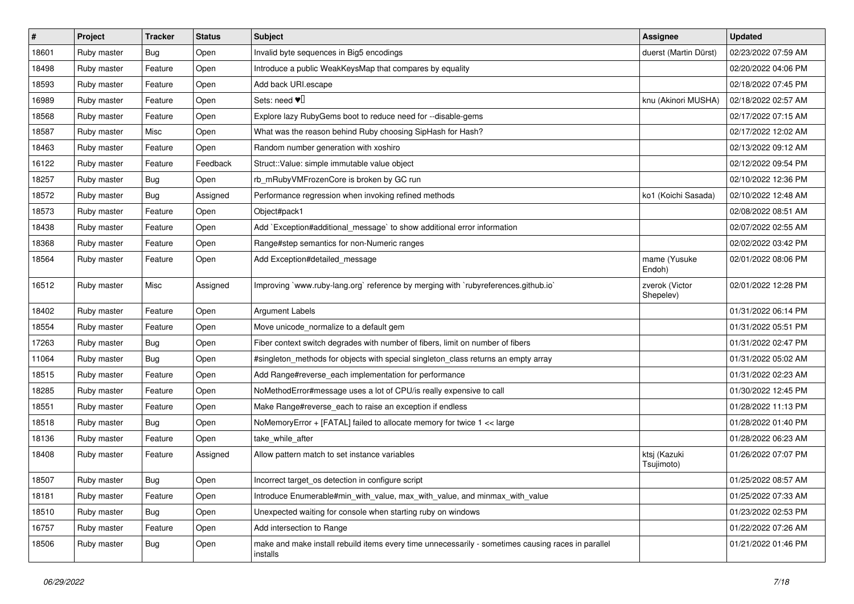| #     | Project     | <b>Tracker</b> | <b>Status</b> | <b>Subject</b>                                                                                                 | Assignee                    | <b>Updated</b>      |
|-------|-------------|----------------|---------------|----------------------------------------------------------------------------------------------------------------|-----------------------------|---------------------|
| 18601 | Ruby master | Bug            | Open          | Invalid byte sequences in Big5 encodings                                                                       | duerst (Martin Dürst)       | 02/23/2022 07:59 AM |
| 18498 | Ruby master | Feature        | Open          | Introduce a public WeakKeysMap that compares by equality                                                       |                             | 02/20/2022 04:06 PM |
| 18593 | Ruby master | Feature        | Open          | Add back URI.escape                                                                                            |                             | 02/18/2022 07:45 PM |
| 16989 | Ruby master | Feature        | Open          | Sets: need $\Psi$                                                                                              | knu (Akinori MUSHA)         | 02/18/2022 02:57 AM |
| 18568 | Ruby master | Feature        | Open          | Explore lazy RubyGems boot to reduce need for --disable-gems                                                   |                             | 02/17/2022 07:15 AM |
| 18587 | Ruby master | Misc           | Open          | What was the reason behind Ruby choosing SipHash for Hash?                                                     |                             | 02/17/2022 12:02 AM |
| 18463 | Ruby master | Feature        | Open          | Random number generation with xoshiro                                                                          |                             | 02/13/2022 09:12 AM |
| 16122 | Ruby master | Feature        | Feedback      | Struct::Value: simple immutable value object                                                                   |                             | 02/12/2022 09:54 PM |
| 18257 | Ruby master | <b>Bug</b>     | Open          | rb_mRubyVMFrozenCore is broken by GC run                                                                       |                             | 02/10/2022 12:36 PM |
| 18572 | Ruby master | Bug            | Assigned      | Performance regression when invoking refined methods                                                           | ko1 (Koichi Sasada)         | 02/10/2022 12:48 AM |
| 18573 | Ruby master | Feature        | Open          | Object#pack1                                                                                                   |                             | 02/08/2022 08:51 AM |
| 18438 | Ruby master | Feature        | Open          | Add `Exception#additional_message` to show additional error information                                        |                             | 02/07/2022 02:55 AM |
| 18368 | Ruby master | Feature        | Open          | Range#step semantics for non-Numeric ranges                                                                    |                             | 02/02/2022 03:42 PM |
| 18564 | Ruby master | Feature        | Open          | Add Exception#detailed_message                                                                                 | mame (Yusuke<br>Endoh)      | 02/01/2022 08:06 PM |
| 16512 | Ruby master | Misc           | Assigned      | Improving `www.ruby-lang.org` reference by merging with `rubyreferences.github.io`                             | zverok (Victor<br>Shepelev) | 02/01/2022 12:28 PM |
| 18402 | Ruby master | Feature        | Open          | <b>Argument Labels</b>                                                                                         |                             | 01/31/2022 06:14 PM |
| 18554 | Ruby master | Feature        | Open          | Move unicode normalize to a default gem                                                                        |                             | 01/31/2022 05:51 PM |
| 17263 | Ruby master | <b>Bug</b>     | Open          | Fiber context switch degrades with number of fibers, limit on number of fibers                                 |                             | 01/31/2022 02:47 PM |
| 11064 | Ruby master | Bug            | Open          | #singleton_methods for objects with special singleton_class returns an empty array                             |                             | 01/31/2022 05:02 AM |
| 18515 | Ruby master | Feature        | Open          | Add Range#reverse_each implementation for performance                                                          |                             | 01/31/2022 02:23 AM |
| 18285 | Ruby master | Feature        | Open          | NoMethodError#message uses a lot of CPU/is really expensive to call                                            |                             | 01/30/2022 12:45 PM |
| 18551 | Ruby master | Feature        | Open          | Make Range#reverse_each to raise an exception if endless                                                       |                             | 01/28/2022 11:13 PM |
| 18518 | Ruby master | <b>Bug</b>     | Open          | NoMemoryError + [FATAL] failed to allocate memory for twice 1 << large                                         |                             | 01/28/2022 01:40 PM |
| 18136 | Ruby master | Feature        | Open          | take_while_after                                                                                               |                             | 01/28/2022 06:23 AM |
| 18408 | Ruby master | Feature        | Assigned      | Allow pattern match to set instance variables                                                                  | ktsj (Kazuki<br>Tsujimoto)  | 01/26/2022 07:07 PM |
| 18507 | Ruby master | Bug            | Open          | Incorrect target_os detection in configure script                                                              |                             | 01/25/2022 08:57 AM |
| 18181 | Ruby master | Feature        | Open          | Introduce Enumerable#min_with_value, max_with_value, and minmax_with_value                                     |                             | 01/25/2022 07:33 AM |
| 18510 | Ruby master | Bug            | Open          | Unexpected waiting for console when starting ruby on windows                                                   |                             | 01/23/2022 02:53 PM |
| 16757 | Ruby master | Feature        | Open          | Add intersection to Range                                                                                      |                             | 01/22/2022 07:26 AM |
| 18506 | Ruby master | Bug            | Open          | make and make install rebuild items every time unnecessarily - sometimes causing races in parallel<br>installs |                             | 01/21/2022 01:46 PM |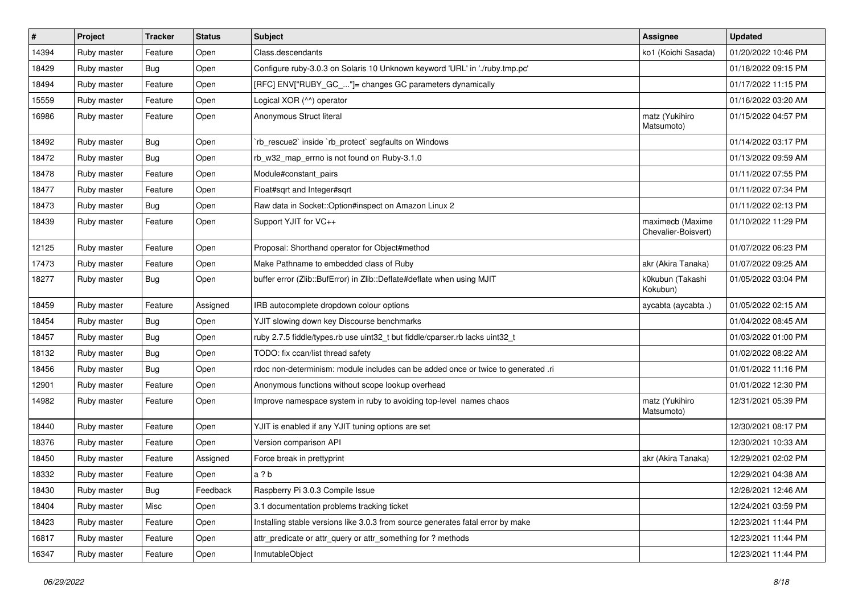| $\vert$ # | Project     | <b>Tracker</b> | <b>Status</b> | Subject                                                                           | <b>Assignee</b>                         | <b>Updated</b>      |
|-----------|-------------|----------------|---------------|-----------------------------------------------------------------------------------|-----------------------------------------|---------------------|
| 14394     | Ruby master | Feature        | Open          | Class.descendants                                                                 | ko1 (Koichi Sasada)                     | 01/20/2022 10:46 PM |
| 18429     | Ruby master | Bug            | Open          | Configure ruby-3.0.3 on Solaris 10 Unknown keyword 'URL' in './ruby.tmp.pc'       |                                         | 01/18/2022 09:15 PM |
| 18494     | Ruby master | Feature        | Open          | [RFC] ENV["RUBY_GC_"]= changes GC parameters dynamically                          |                                         | 01/17/2022 11:15 PM |
| 15559     | Ruby master | Feature        | Open          | Logical XOR (^^) operator                                                         |                                         | 01/16/2022 03:20 AM |
| 16986     | Ruby master | Feature        | Open          | Anonymous Struct literal                                                          | matz (Yukihiro<br>Matsumoto)            | 01/15/2022 04:57 PM |
| 18492     | Ruby master | <b>Bug</b>     | Open          | 'rb_rescue2' inside 'rb_protect' segfaults on Windows                             |                                         | 01/14/2022 03:17 PM |
| 18472     | Ruby master | Bug            | Open          | rb_w32_map_errno is not found on Ruby-3.1.0                                       |                                         | 01/13/2022 09:59 AM |
| 18478     | Ruby master | Feature        | Open          | Module#constant pairs                                                             |                                         | 01/11/2022 07:55 PM |
| 18477     | Ruby master | Feature        | Open          | Float#sqrt and Integer#sqrt                                                       |                                         | 01/11/2022 07:34 PM |
| 18473     | Ruby master | <b>Bug</b>     | Open          | Raw data in Socket::Option#inspect on Amazon Linux 2                              |                                         | 01/11/2022 02:13 PM |
| 18439     | Ruby master | Feature        | Open          | Support YJIT for VC++                                                             | maximecb (Maxime<br>Chevalier-Boisvert) | 01/10/2022 11:29 PM |
| 12125     | Ruby master | Feature        | Open          | Proposal: Shorthand operator for Object#method                                    |                                         | 01/07/2022 06:23 PM |
| 17473     | Ruby master | Feature        | Open          | Make Pathname to embedded class of Ruby                                           | akr (Akira Tanaka)                      | 01/07/2022 09:25 AM |
| 18277     | Ruby master | <b>Bug</b>     | Open          | buffer error (Zlib::BufError) in Zlib::Deflate#deflate when using MJIT            | k0kubun (Takashi<br>Kokubun)            | 01/05/2022 03:04 PM |
| 18459     | Ruby master | Feature        | Assigned      | IRB autocomplete dropdown colour options                                          | aycabta (aycabta.)                      | 01/05/2022 02:15 AM |
| 18454     | Ruby master | Bug            | Open          | YJIT slowing down key Discourse benchmarks                                        |                                         | 01/04/2022 08:45 AM |
| 18457     | Ruby master | <b>Bug</b>     | Open          | ruby 2.7.5 fiddle/types.rb use uint32_t but fiddle/cparser.rb lacks uint32_t      |                                         | 01/03/2022 01:00 PM |
| 18132     | Ruby master | Bug            | Open          | TODO: fix ccan/list thread safety                                                 |                                         | 01/02/2022 08:22 AM |
| 18456     | Ruby master | <b>Bug</b>     | Open          | rdoc non-determinism: module includes can be added once or twice to generated .ri |                                         | 01/01/2022 11:16 PM |
| 12901     | Ruby master | Feature        | Open          | Anonymous functions without scope lookup overhead                                 |                                         | 01/01/2022 12:30 PM |
| 14982     | Ruby master | Feature        | Open          | Improve namespace system in ruby to avoiding top-level names chaos                | matz (Yukihiro<br>Matsumoto)            | 12/31/2021 05:39 PM |
| 18440     | Ruby master | Feature        | Open          | YJIT is enabled if any YJIT tuning options are set                                |                                         | 12/30/2021 08:17 PM |
| 18376     | Ruby master | Feature        | Open          | Version comparison API                                                            |                                         | 12/30/2021 10:33 AM |
| 18450     | Ruby master | Feature        | Assigned      | Force break in prettyprint                                                        | akr (Akira Tanaka)                      | 12/29/2021 02:02 PM |
| 18332     | Ruby master | Feature        | Open          | a?b                                                                               |                                         | 12/29/2021 04:38 AM |
| 18430     | Ruby master | <b>Bug</b>     | Feedback      | Raspberry Pi 3.0.3 Compile Issue                                                  |                                         | 12/28/2021 12:46 AM |
| 18404     | Ruby master | Misc           | Open          | 3.1 documentation problems tracking ticket                                        |                                         | 12/24/2021 03:59 PM |
| 18423     | Ruby master | Feature        | Open          | Installing stable versions like 3.0.3 from source generates fatal error by make   |                                         | 12/23/2021 11:44 PM |
| 16817     | Ruby master | Feature        | Open          | attr_predicate or attr_query or attr_something for ? methods                      |                                         | 12/23/2021 11:44 PM |
| 16347     | Ruby master | Feature        | Open          | InmutableObject                                                                   |                                         | 12/23/2021 11:44 PM |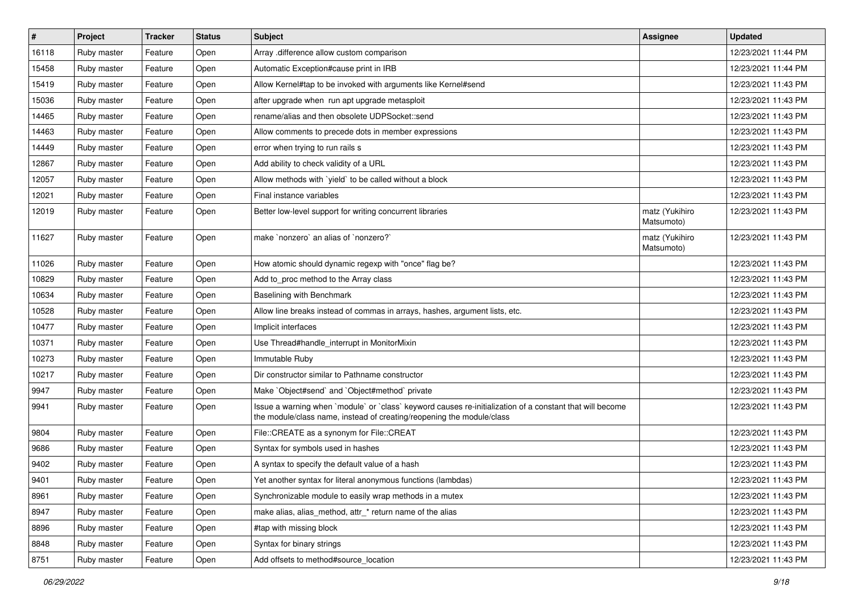| $\pmb{\#}$ | Project     | <b>Tracker</b> | <b>Status</b> | <b>Subject</b>                                                                                                                                                                    | <b>Assignee</b>              | <b>Updated</b>      |
|------------|-------------|----------------|---------------|-----------------------------------------------------------------------------------------------------------------------------------------------------------------------------------|------------------------------|---------------------|
| 16118      | Ruby master | Feature        | Open          | Array .difference allow custom comparison                                                                                                                                         |                              | 12/23/2021 11:44 PM |
| 15458      | Ruby master | Feature        | Open          | Automatic Exception#cause print in IRB                                                                                                                                            |                              | 12/23/2021 11:44 PM |
| 15419      | Ruby master | Feature        | Open          | Allow Kernel#tap to be invoked with arguments like Kernel#send                                                                                                                    |                              | 12/23/2021 11:43 PM |
| 15036      | Ruby master | Feature        | Open          | after upgrade when run apt upgrade metasploit                                                                                                                                     |                              | 12/23/2021 11:43 PM |
| 14465      | Ruby master | Feature        | Open          | rename/alias and then obsolete UDPSocket::send                                                                                                                                    |                              | 12/23/2021 11:43 PM |
| 14463      | Ruby master | Feature        | Open          | Allow comments to precede dots in member expressions                                                                                                                              |                              | 12/23/2021 11:43 PM |
| 14449      | Ruby master | Feature        | Open          | error when trying to run rails s                                                                                                                                                  |                              | 12/23/2021 11:43 PM |
| 12867      | Ruby master | Feature        | Open          | Add ability to check validity of a URL                                                                                                                                            |                              | 12/23/2021 11:43 PM |
| 12057      | Ruby master | Feature        | Open          | Allow methods with `yield` to be called without a block                                                                                                                           |                              | 12/23/2021 11:43 PM |
| 12021      | Ruby master | Feature        | Open          | Final instance variables                                                                                                                                                          |                              | 12/23/2021 11:43 PM |
| 12019      | Ruby master | Feature        | Open          | Better low-level support for writing concurrent libraries                                                                                                                         | matz (Yukihiro<br>Matsumoto) | 12/23/2021 11:43 PM |
| 11627      | Ruby master | Feature        | Open          | make `nonzero` an alias of `nonzero?`                                                                                                                                             | matz (Yukihiro<br>Matsumoto) | 12/23/2021 11:43 PM |
| 11026      | Ruby master | Feature        | Open          | How atomic should dynamic regexp with "once" flag be?                                                                                                                             |                              | 12/23/2021 11:43 PM |
| 10829      | Ruby master | Feature        | Open          | Add to proc method to the Array class                                                                                                                                             |                              | 12/23/2021 11:43 PM |
| 10634      | Ruby master | Feature        | Open          | Baselining with Benchmark                                                                                                                                                         |                              | 12/23/2021 11:43 PM |
| 10528      | Ruby master | Feature        | Open          | Allow line breaks instead of commas in arrays, hashes, argument lists, etc.                                                                                                       |                              | 12/23/2021 11:43 PM |
| 10477      | Ruby master | Feature        | Open          | Implicit interfaces                                                                                                                                                               |                              | 12/23/2021 11:43 PM |
| 10371      | Ruby master | Feature        | Open          | Use Thread#handle_interrupt in MonitorMixin                                                                                                                                       |                              | 12/23/2021 11:43 PM |
| 10273      | Ruby master | Feature        | Open          | Immutable Ruby                                                                                                                                                                    |                              | 12/23/2021 11:43 PM |
| 10217      | Ruby master | Feature        | Open          | Dir constructor similar to Pathname constructor                                                                                                                                   |                              | 12/23/2021 11:43 PM |
| 9947       | Ruby master | Feature        | Open          | Make `Object#send` and `Object#method` private                                                                                                                                    |                              | 12/23/2021 11:43 PM |
| 9941       | Ruby master | Feature        | Open          | Issue a warning when 'module' or 'class' keyword causes re-initialization of a constant that will become<br>the module/class name, instead of creating/reopening the module/class |                              | 12/23/2021 11:43 PM |
| 9804       | Ruby master | Feature        | Open          | File::CREATE as a synonym for File::CREAT                                                                                                                                         |                              | 12/23/2021 11:43 PM |
| 9686       | Ruby master | Feature        | Open          | Syntax for symbols used in hashes                                                                                                                                                 |                              | 12/23/2021 11:43 PM |
| 9402       | Ruby master | Feature        | Open          | A syntax to specify the default value of a hash                                                                                                                                   |                              | 12/23/2021 11:43 PM |
| 9401       | Ruby master | Feature        | Open          | Yet another syntax for literal anonymous functions (lambdas)                                                                                                                      |                              | 12/23/2021 11:43 PM |
| 8961       | Ruby master | Feature        | Open          | Synchronizable module to easily wrap methods in a mutex                                                                                                                           |                              | 12/23/2021 11:43 PM |
| 8947       | Ruby master | Feature        | Open          | make alias, alias_method, attr_* return name of the alias                                                                                                                         |                              | 12/23/2021 11:43 PM |
| 8896       | Ruby master | Feature        | Open          | #tap with missing block                                                                                                                                                           |                              | 12/23/2021 11:43 PM |
| 8848       | Ruby master | Feature        | Open          | Syntax for binary strings                                                                                                                                                         |                              | 12/23/2021 11:43 PM |
| 8751       | Ruby master | Feature        | Open          | Add offsets to method#source_location                                                                                                                                             |                              | 12/23/2021 11:43 PM |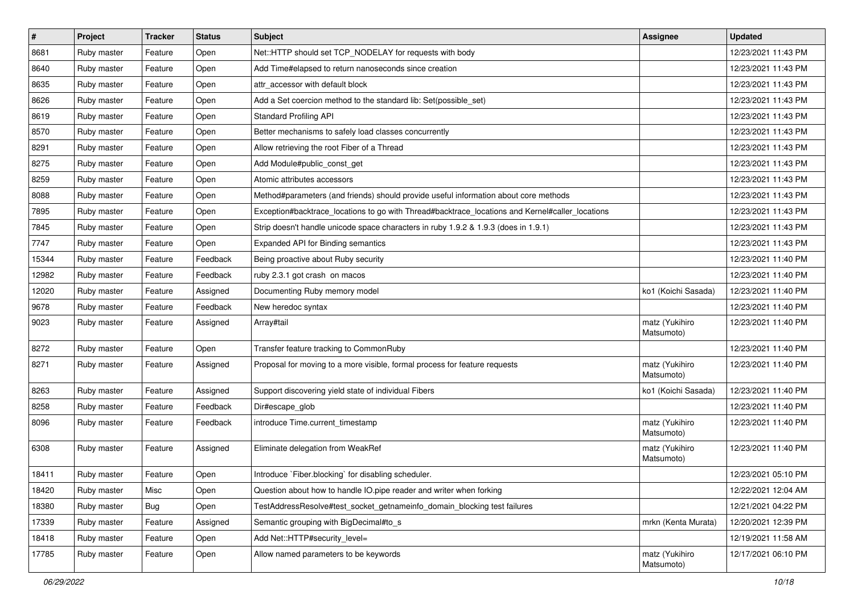| $\pmb{\#}$ | Project     | <b>Tracker</b> | <b>Status</b> | <b>Subject</b>                                                                                  | <b>Assignee</b>              | <b>Updated</b>      |
|------------|-------------|----------------|---------------|-------------------------------------------------------------------------------------------------|------------------------------|---------------------|
| 8681       | Ruby master | Feature        | Open          | Net::HTTP should set TCP_NODELAY for requests with body                                         |                              | 12/23/2021 11:43 PM |
| 8640       | Ruby master | Feature        | Open          | Add Time#elapsed to return nanoseconds since creation                                           |                              | 12/23/2021 11:43 PM |
| 8635       | Ruby master | Feature        | Open          | attr_accessor with default block                                                                |                              | 12/23/2021 11:43 PM |
| 8626       | Ruby master | Feature        | Open          | Add a Set coercion method to the standard lib: Set(possible_set)                                |                              | 12/23/2021 11:43 PM |
| 8619       | Ruby master | Feature        | Open          | <b>Standard Profiling API</b>                                                                   |                              | 12/23/2021 11:43 PM |
| 8570       | Ruby master | Feature        | Open          | Better mechanisms to safely load classes concurrently                                           |                              | 12/23/2021 11:43 PM |
| 8291       | Ruby master | Feature        | Open          | Allow retrieving the root Fiber of a Thread                                                     |                              | 12/23/2021 11:43 PM |
| 8275       | Ruby master | Feature        | Open          | Add Module#public const get                                                                     |                              | 12/23/2021 11:43 PM |
| 8259       | Ruby master | Feature        | Open          | Atomic attributes accessors                                                                     |                              | 12/23/2021 11:43 PM |
| 8088       | Ruby master | Feature        | Open          | Method#parameters (and friends) should provide useful information about core methods            |                              | 12/23/2021 11:43 PM |
| 7895       | Ruby master | Feature        | Open          | Exception#backtrace_locations to go with Thread#backtrace_locations and Kernel#caller_locations |                              | 12/23/2021 11:43 PM |
| 7845       | Ruby master | Feature        | Open          | Strip doesn't handle unicode space characters in ruby 1.9.2 & 1.9.3 (does in 1.9.1)             |                              | 12/23/2021 11:43 PM |
| 7747       | Ruby master | Feature        | Open          | <b>Expanded API for Binding semantics</b>                                                       |                              | 12/23/2021 11:43 PM |
| 15344      | Ruby master | Feature        | Feedback      | Being proactive about Ruby security                                                             |                              | 12/23/2021 11:40 PM |
| 12982      | Ruby master | Feature        | Feedback      | ruby 2.3.1 got crash on macos                                                                   |                              | 12/23/2021 11:40 PM |
| 12020      | Ruby master | Feature        | Assigned      | Documenting Ruby memory model                                                                   | ko1 (Koichi Sasada)          | 12/23/2021 11:40 PM |
| 9678       | Ruby master | Feature        | Feedback      | New heredoc syntax                                                                              |                              | 12/23/2021 11:40 PM |
| 9023       | Ruby master | Feature        | Assigned      | Array#tail                                                                                      | matz (Yukihiro<br>Matsumoto) | 12/23/2021 11:40 PM |
| 8272       | Ruby master | Feature        | Open          | Transfer feature tracking to CommonRuby                                                         |                              | 12/23/2021 11:40 PM |
| 8271       | Ruby master | Feature        | Assigned      | Proposal for moving to a more visible, formal process for feature requests                      | matz (Yukihiro<br>Matsumoto) | 12/23/2021 11:40 PM |
| 8263       | Ruby master | Feature        | Assigned      | Support discovering yield state of individual Fibers                                            | ko1 (Koichi Sasada)          | 12/23/2021 11:40 PM |
| 8258       | Ruby master | Feature        | Feedback      | Dir#escape_glob                                                                                 |                              | 12/23/2021 11:40 PM |
| 8096       | Ruby master | Feature        | Feedback      | introduce Time.current_timestamp                                                                | matz (Yukihiro<br>Matsumoto) | 12/23/2021 11:40 PM |
| 6308       | Ruby master | Feature        | Assigned      | Eliminate delegation from WeakRef                                                               | matz (Yukihiro<br>Matsumoto) | 12/23/2021 11:40 PM |
| 18411      | Ruby master | Feature        | Open          | Introduce `Fiber.blocking` for disabling scheduler.                                             |                              | 12/23/2021 05:10 PM |
| 18420      | Ruby master | Misc           | Open          | Question about how to handle IO.pipe reader and writer when forking                             |                              | 12/22/2021 12:04 AM |
| 18380      | Ruby master | <b>Bug</b>     | Open          | TestAddressResolve#test_socket_getnameinfo_domain_blocking test failures                        |                              | 12/21/2021 04:22 PM |
| 17339      | Ruby master | Feature        | Assigned      | Semantic grouping with BigDecimal#to_s                                                          | mrkn (Kenta Murata)          | 12/20/2021 12:39 PM |
| 18418      | Ruby master | Feature        | Open          | Add Net::HTTP#security_level=                                                                   |                              | 12/19/2021 11:58 AM |
| 17785      | Ruby master | Feature        | Open          | Allow named parameters to be keywords                                                           | matz (Yukihiro<br>Matsumoto) | 12/17/2021 06:10 PM |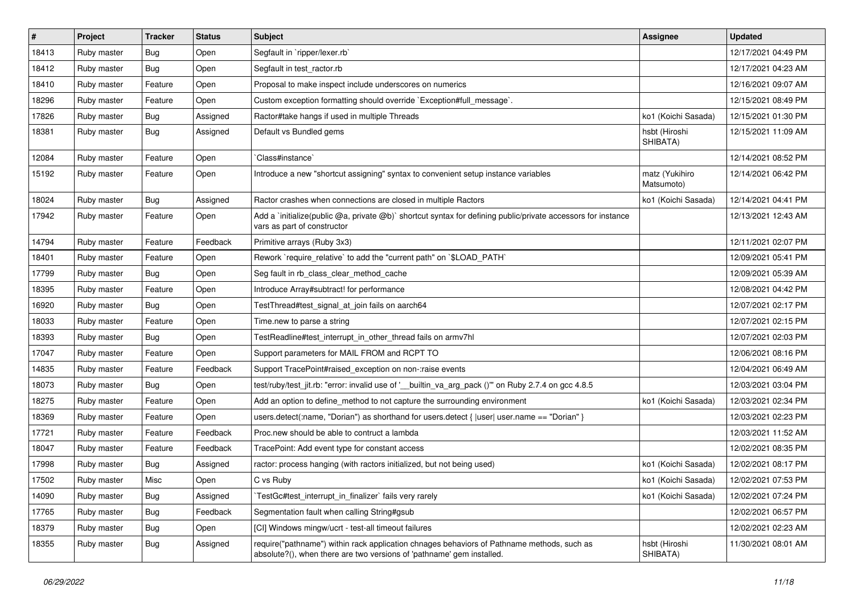| $\vert$ # | Project     | <b>Tracker</b> | <b>Status</b> | <b>Subject</b>                                                                                                                                                      | <b>Assignee</b>              | <b>Updated</b>      |
|-----------|-------------|----------------|---------------|---------------------------------------------------------------------------------------------------------------------------------------------------------------------|------------------------------|---------------------|
| 18413     | Ruby master | Bug            | Open          | Segfault in `ripper/lexer.rb`                                                                                                                                       |                              | 12/17/2021 04:49 PM |
| 18412     | Ruby master | <b>Bug</b>     | Open          | Segfault in test ractor.rb                                                                                                                                          |                              | 12/17/2021 04:23 AM |
| 18410     | Ruby master | Feature        | Open          | Proposal to make inspect include underscores on numerics                                                                                                            |                              | 12/16/2021 09:07 AM |
| 18296     | Ruby master | Feature        | Open          | Custom exception formatting should override `Exception#full_message`.                                                                                               |                              | 12/15/2021 08:49 PM |
| 17826     | Ruby master | <b>Bug</b>     | Assigned      | Ractor#take hangs if used in multiple Threads                                                                                                                       | ko1 (Koichi Sasada)          | 12/15/2021 01:30 PM |
| 18381     | Ruby master | Bug            | Assigned      | Default vs Bundled gems                                                                                                                                             | hsbt (Hiroshi<br>SHIBATA)    | 12/15/2021 11:09 AM |
| 12084     | Ruby master | Feature        | Open          | Class#instance`                                                                                                                                                     |                              | 12/14/2021 08:52 PM |
| 15192     | Ruby master | Feature        | Open          | Introduce a new "shortcut assigning" syntax to convenient setup instance variables                                                                                  | matz (Yukihiro<br>Matsumoto) | 12/14/2021 06:42 PM |
| 18024     | Ruby master | Bug            | Assigned      | Ractor crashes when connections are closed in multiple Ractors                                                                                                      | ko1 (Koichi Sasada)          | 12/14/2021 04:41 PM |
| 17942     | Ruby master | Feature        | Open          | Add a 'initialize(public @a, private @b)' shortcut syntax for defining public/private accessors for instance<br>vars as part of constructor                         |                              | 12/13/2021 12:43 AM |
| 14794     | Ruby master | Feature        | Feedback      | Primitive arrays (Ruby 3x3)                                                                                                                                         |                              | 12/11/2021 02:07 PM |
| 18401     | Ruby master | Feature        | Open          | Rework `require relative` to add the "current path" on `\$LOAD PATH`                                                                                                |                              | 12/09/2021 05:41 PM |
| 17799     | Ruby master | Bug            | Open          | Seg fault in rb_class_clear_method_cache                                                                                                                            |                              | 12/09/2021 05:39 AM |
| 18395     | Ruby master | Feature        | Open          | Introduce Array#subtract! for performance                                                                                                                           |                              | 12/08/2021 04:42 PM |
| 16920     | Ruby master | <b>Bug</b>     | Open          | TestThread#test_signal_at_join fails on aarch64                                                                                                                     |                              | 12/07/2021 02:17 PM |
| 18033     | Ruby master | Feature        | Open          | Time.new to parse a string                                                                                                                                          |                              | 12/07/2021 02:15 PM |
| 18393     | Ruby master | Bug            | Open          | TestReadline#test_interrupt_in_other_thread fails on armv7hl                                                                                                        |                              | 12/07/2021 02:03 PM |
| 17047     | Ruby master | Feature        | Open          | Support parameters for MAIL FROM and RCPT TO                                                                                                                        |                              | 12/06/2021 08:16 PM |
| 14835     | Ruby master | Feature        | Feedback      | Support TracePoint#raised exception on non-:raise events                                                                                                            |                              | 12/04/2021 06:49 AM |
| 18073     | Ruby master | Bug            | Open          | test/ruby/test_jit.rb: "error: invalid use of '__builtin_va_arg_pack ()" on Ruby 2.7.4 on gcc 4.8.5                                                                 |                              | 12/03/2021 03:04 PM |
| 18275     | Ruby master | Feature        | Open          | Add an option to define method to not capture the surrounding environment                                                                                           | ko1 (Koichi Sasada)          | 12/03/2021 02:34 PM |
| 18369     | Ruby master | Feature        | Open          | users.detect(:name, "Dorian") as shorthand for users.detect { $ user $ user.name == "Dorian" }                                                                      |                              | 12/03/2021 02:23 PM |
| 17721     | Ruby master | Feature        | Feedback      | Proc.new should be able to contruct a lambda                                                                                                                        |                              | 12/03/2021 11:52 AM |
| 18047     | Ruby master | Feature        | Feedback      | TracePoint: Add event type for constant access                                                                                                                      |                              | 12/02/2021 08:35 PM |
| 17998     | Ruby master | <b>Bug</b>     | Assigned      | ractor: process hanging (with ractors initialized, but not being used)                                                                                              | ko1 (Koichi Sasada)          | 12/02/2021 08:17 PM |
| 17502     | Ruby master | Misc           | Open          | C vs Ruby                                                                                                                                                           | ko1 (Koichi Sasada)          | 12/02/2021 07:53 PM |
| 14090     | Ruby master | Bug            | Assigned      | TestGc#test interrupt in finalizer` fails very rarely                                                                                                               | ko1 (Koichi Sasada)          | 12/02/2021 07:24 PM |
| 17765     | Ruby master | Bug            | Feedback      | Segmentation fault when calling String#gsub                                                                                                                         |                              | 12/02/2021 06:57 PM |
| 18379     | Ruby master | Bug            | Open          | [CI] Windows mingw/ucrt - test-all timeout failures                                                                                                                 |                              | 12/02/2021 02:23 AM |
| 18355     | Ruby master | Bug            | Assigned      | require("pathname") within rack application chnages behaviors of Pathname methods, such as<br>absolute?(), when there are two versions of 'pathname' gem installed. | hsbt (Hiroshi<br>SHIBATA)    | 11/30/2021 08:01 AM |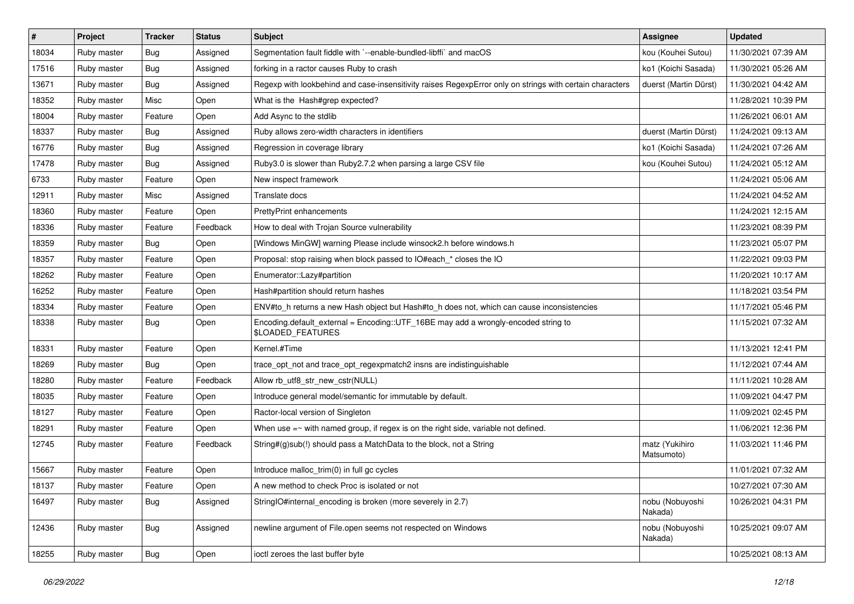| $\vert$ # | Project     | <b>Tracker</b> | <b>Status</b> | <b>Subject</b>                                                                                                 | Assignee                     | <b>Updated</b>      |
|-----------|-------------|----------------|---------------|----------------------------------------------------------------------------------------------------------------|------------------------------|---------------------|
| 18034     | Ruby master | Bug            | Assigned      | Segmentation fault fiddle with `--enable-bundled-libffi` and macOS                                             | kou (Kouhei Sutou)           | 11/30/2021 07:39 AM |
| 17516     | Ruby master | Bug            | Assigned      | forking in a ractor causes Ruby to crash                                                                       | ko1 (Koichi Sasada)          | 11/30/2021 05:26 AM |
| 13671     | Ruby master | Bug            | Assigned      | Regexp with lookbehind and case-insensitivity raises RegexpError only on strings with certain characters       | duerst (Martin Dürst)        | 11/30/2021 04:42 AM |
| 18352     | Ruby master | Misc           | Open          | What is the Hash#grep expected?                                                                                |                              | 11/28/2021 10:39 PM |
| 18004     | Ruby master | Feature        | Open          | Add Async to the stdlib                                                                                        |                              | 11/26/2021 06:01 AM |
| 18337     | Ruby master | <b>Bug</b>     | Assigned      | Ruby allows zero-width characters in identifiers                                                               | duerst (Martin Dürst)        | 11/24/2021 09:13 AM |
| 16776     | Ruby master | Bug            | Assigned      | Regression in coverage library                                                                                 | ko1 (Koichi Sasada)          | 11/24/2021 07:26 AM |
| 17478     | Ruby master | Bug            | Assigned      | Ruby3.0 is slower than Ruby2.7.2 when parsing a large CSV file                                                 | kou (Kouhei Sutou)           | 11/24/2021 05:12 AM |
| 6733      | Ruby master | Feature        | Open          | New inspect framework                                                                                          |                              | 11/24/2021 05:06 AM |
| 12911     | Ruby master | Misc           | Assigned      | Translate docs                                                                                                 |                              | 11/24/2021 04:52 AM |
| 18360     | Ruby master | Feature        | Open          | PrettyPrint enhancements                                                                                       |                              | 11/24/2021 12:15 AM |
| 18336     | Ruby master | Feature        | Feedback      | How to deal with Trojan Source vulnerability                                                                   |                              | 11/23/2021 08:39 PM |
| 18359     | Ruby master | Bug            | Open          | [Windows MinGW] warning Please include winsock2.h before windows.h                                             |                              | 11/23/2021 05:07 PM |
| 18357     | Ruby master | Feature        | Open          | Proposal: stop raising when block passed to IO#each_* closes the IO                                            |                              | 11/22/2021 09:03 PM |
| 18262     | Ruby master | Feature        | Open          | Enumerator::Lazy#partition                                                                                     |                              | 11/20/2021 10:17 AM |
| 16252     | Ruby master | Feature        | Open          | Hash#partition should return hashes                                                                            |                              | 11/18/2021 03:54 PM |
| 18334     | Ruby master | Feature        | Open          | ENV#to_h returns a new Hash object but Hash#to_h does not, which can cause inconsistencies                     |                              | 11/17/2021 05:46 PM |
| 18338     | Ruby master | Bug            | Open          | Encoding.default_external = Encoding::UTF_16BE may add a wrongly-encoded string to<br><b>\$LOADED FEATURES</b> |                              | 11/15/2021 07:32 AM |
| 18331     | Ruby master | Feature        | Open          | Kernel.#Time                                                                                                   |                              | 11/13/2021 12:41 PM |
| 18269     | Ruby master | Bug            | Open          | trace_opt_not and trace_opt_regexpmatch2 insns are indistinguishable                                           |                              | 11/12/2021 07:44 AM |
| 18280     | Ruby master | Feature        | Feedback      | Allow rb_utf8_str_new_cstr(NULL)                                                                               |                              | 11/11/2021 10:28 AM |
| 18035     | Ruby master | Feature        | Open          | Introduce general model/semantic for immutable by default.                                                     |                              | 11/09/2021 04:47 PM |
| 18127     | Ruby master | Feature        | Open          | Ractor-local version of Singleton                                                                              |                              | 11/09/2021 02:45 PM |
| 18291     | Ruby master | Feature        | Open          | When use $=\sim$ with named group, if regex is on the right side, variable not defined.                        |                              | 11/06/2021 12:36 PM |
| 12745     | Ruby master | Feature        | Feedback      | String#(g)sub(!) should pass a MatchData to the block, not a String                                            | matz (Yukihiro<br>Matsumoto) | 11/03/2021 11:46 PM |
| 15667     | Ruby master | Feature        | Open          | Introduce malloc_trim(0) in full gc cycles                                                                     |                              | 11/01/2021 07:32 AM |
| 18137     | Ruby master | Feature        | Open          | A new method to check Proc is isolated or not                                                                  |                              | 10/27/2021 07:30 AM |
| 16497     | Ruby master | Bug            | Assigned      | StringIO#internal_encoding is broken (more severely in 2.7)                                                    | nobu (Nobuyoshi<br>Nakada)   | 10/26/2021 04:31 PM |
| 12436     | Ruby master | <b>Bug</b>     | Assigned      | newline argument of File.open seems not respected on Windows                                                   | nobu (Nobuyoshi<br>Nakada)   | 10/25/2021 09:07 AM |
| 18255     | Ruby master | <b>Bug</b>     | Open          | ioctl zeroes the last buffer byte                                                                              |                              | 10/25/2021 08:13 AM |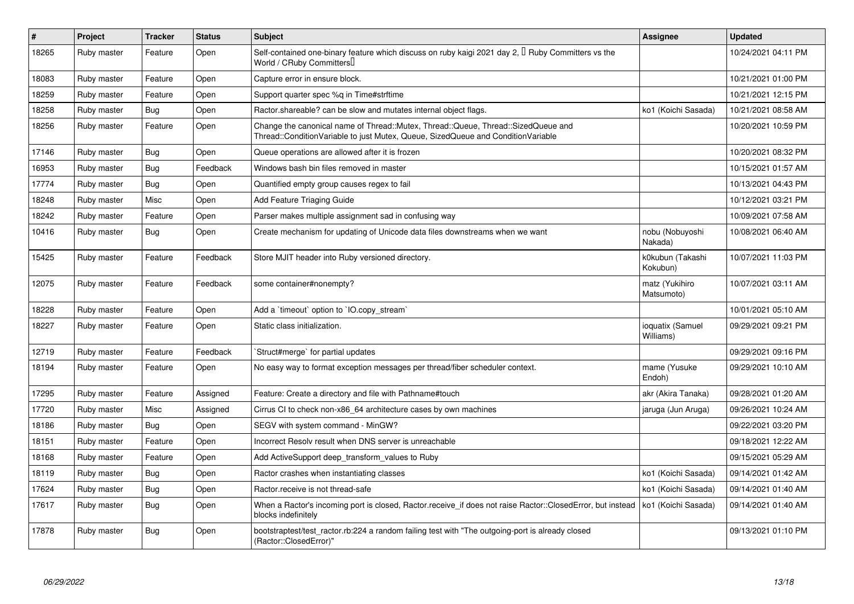| $\vert$ # | Project     | <b>Tracker</b> | <b>Status</b> | <b>Subject</b>                                                                                                                                                        | Assignee                      | <b>Updated</b>      |
|-----------|-------------|----------------|---------------|-----------------------------------------------------------------------------------------------------------------------------------------------------------------------|-------------------------------|---------------------|
| 18265     | Ruby master | Feature        | Open          | Self-contained one-binary feature which discuss on ruby kaigi 2021 day 2, <sup>[]</sup> Ruby Committers vs the<br>World / CRuby CommittersU                           |                               | 10/24/2021 04:11 PM |
| 18083     | Ruby master | Feature        | Open          | Capture error in ensure block.                                                                                                                                        |                               | 10/21/2021 01:00 PM |
| 18259     | Ruby master | Feature        | Open          | Support quarter spec %q in Time#strftime                                                                                                                              |                               | 10/21/2021 12:15 PM |
| 18258     | Ruby master | <b>Bug</b>     | Open          | Ractor.shareable? can be slow and mutates internal object flags.                                                                                                      | ko1 (Koichi Sasada)           | 10/21/2021 08:58 AM |
| 18256     | Ruby master | Feature        | Open          | Change the canonical name of Thread::Mutex, Thread::Queue, Thread::SizedQueue and<br>Thread::ConditionVariable to just Mutex, Queue, SizedQueue and ConditionVariable |                               | 10/20/2021 10:59 PM |
| 17146     | Ruby master | <b>Bug</b>     | Open          | Queue operations are allowed after it is frozen                                                                                                                       |                               | 10/20/2021 08:32 PM |
| 16953     | Ruby master | Bug            | Feedback      | Windows bash bin files removed in master                                                                                                                              |                               | 10/15/2021 01:57 AM |
| 17774     | Ruby master | <b>Bug</b>     | Open          | Quantified empty group causes regex to fail                                                                                                                           |                               | 10/13/2021 04:43 PM |
| 18248     | Ruby master | Misc           | Open          | Add Feature Triaging Guide                                                                                                                                            |                               | 10/12/2021 03:21 PM |
| 18242     | Ruby master | Feature        | Open          | Parser makes multiple assignment sad in confusing way                                                                                                                 |                               | 10/09/2021 07:58 AM |
| 10416     | Ruby master | <b>Bug</b>     | Open          | Create mechanism for updating of Unicode data files downstreams when we want                                                                                          | nobu (Nobuyoshi<br>Nakada)    | 10/08/2021 06:40 AM |
| 15425     | Ruby master | Feature        | Feedback      | Store MJIT header into Ruby versioned directory.                                                                                                                      | k0kubun (Takashi<br>Kokubun)  | 10/07/2021 11:03 PM |
| 12075     | Ruby master | Feature        | Feedback      | some container#nonempty?                                                                                                                                              | matz (Yukihiro<br>Matsumoto)  | 10/07/2021 03:11 AM |
| 18228     | Ruby master | Feature        | Open          | Add a `timeout` option to `IO.copy_stream`                                                                                                                            |                               | 10/01/2021 05:10 AM |
| 18227     | Ruby master | Feature        | Open          | Static class initialization.                                                                                                                                          | ioquatix (Samuel<br>Williams) | 09/29/2021 09:21 PM |
| 12719     | Ruby master | Feature        | Feedback      | Struct#merge` for partial updates                                                                                                                                     |                               | 09/29/2021 09:16 PM |
| 18194     | Ruby master | Feature        | Open          | No easy way to format exception messages per thread/fiber scheduler context.                                                                                          | mame (Yusuke<br>Endoh)        | 09/29/2021 10:10 AM |
| 17295     | Ruby master | Feature        | Assigned      | Feature: Create a directory and file with Pathname#touch                                                                                                              | akr (Akira Tanaka)            | 09/28/2021 01:20 AM |
| 17720     | Ruby master | Misc           | Assigned      | Cirrus CI to check non-x86 64 architecture cases by own machines                                                                                                      | jaruga (Jun Aruga)            | 09/26/2021 10:24 AM |
| 18186     | Ruby master | Bug            | Open          | SEGV with system command - MinGW?                                                                                                                                     |                               | 09/22/2021 03:20 PM |
| 18151     | Ruby master | Feature        | Open          | Incorrect Resolv result when DNS server is unreachable                                                                                                                |                               | 09/18/2021 12:22 AM |
| 18168     | Ruby master | Feature        | Open          | Add ActiveSupport deep_transform_values to Ruby                                                                                                                       |                               | 09/15/2021 05:29 AM |
| 18119     | Ruby master | Bug            | Open          | Ractor crashes when instantiating classes                                                                                                                             | ko1 (Koichi Sasada)           | 09/14/2021 01:42 AM |
| 17624     | Ruby master | <b>Bug</b>     | Open          | Ractor.receive is not thread-safe                                                                                                                                     | ko1 (Koichi Sasada)           | 09/14/2021 01:40 AM |
| 17617     | Ruby master | Bug            | Open          | When a Ractor's incoming port is closed, Ractor receive if does not raise Ractor::ClosedError, but instead<br>blocks indefinitely                                     | ko1 (Koichi Sasada)           | 09/14/2021 01:40 AM |
| 17878     | Ruby master | Bug            | Open          | bootstraptest/test_ractor.rb:224 a random failing test with "The outgoing-port is already closed<br>(Ractor::ClosedError)"                                            |                               | 09/13/2021 01:10 PM |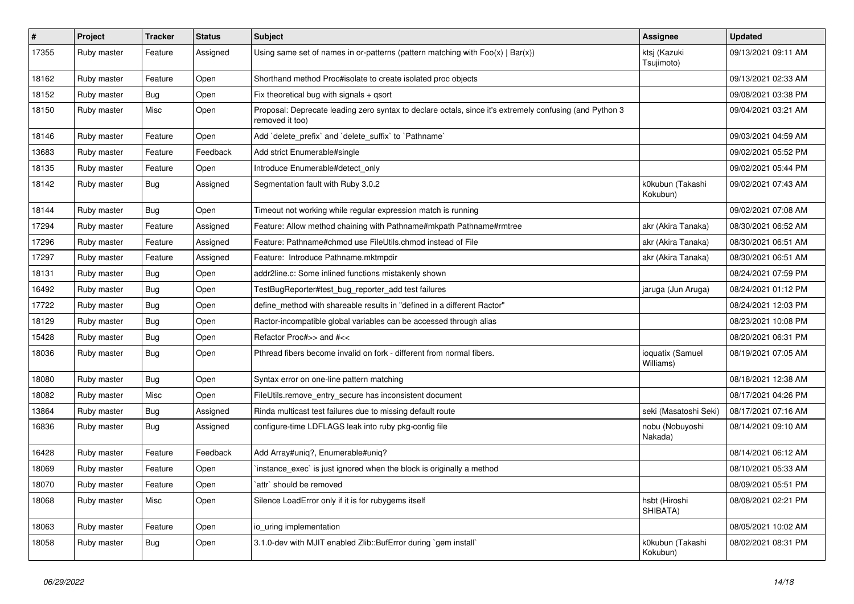| #     | Project     | <b>Tracker</b> | <b>Status</b> | <b>Subject</b>                                                                                                             | Assignee                      | <b>Updated</b>      |
|-------|-------------|----------------|---------------|----------------------------------------------------------------------------------------------------------------------------|-------------------------------|---------------------|
| 17355 | Ruby master | Feature        | Assigned      | Using same set of names in or-patterns (pattern matching with $Foo(x)   Bar(x)$ )                                          | ktsj (Kazuki<br>Tsujimoto)    | 09/13/2021 09:11 AM |
| 18162 | Ruby master | Feature        | Open          | Shorthand method Proc#isolate to create isolated proc objects                                                              |                               | 09/13/2021 02:33 AM |
| 18152 | Ruby master | <b>Bug</b>     | Open          | Fix theoretical bug with signals + qsort                                                                                   |                               | 09/08/2021 03:38 PM |
| 18150 | Ruby master | Misc           | Open          | Proposal: Deprecate leading zero syntax to declare octals, since it's extremely confusing (and Python 3<br>removed it too) |                               | 09/04/2021 03:21 AM |
| 18146 | Ruby master | Feature        | Open          | Add 'delete_prefix' and 'delete_suffix' to 'Pathname'                                                                      |                               | 09/03/2021 04:59 AM |
| 13683 | Ruby master | Feature        | Feedback      | Add strict Enumerable#single                                                                                               |                               | 09/02/2021 05:52 PM |
| 18135 | Ruby master | Feature        | Open          | Introduce Enumerable#detect_only                                                                                           |                               | 09/02/2021 05:44 PM |
| 18142 | Ruby master | Bug            | Assigned      | Segmentation fault with Ruby 3.0.2                                                                                         | k0kubun (Takashi<br>Kokubun)  | 09/02/2021 07:43 AM |
| 18144 | Ruby master | Bug            | Open          | Timeout not working while regular expression match is running                                                              |                               | 09/02/2021 07:08 AM |
| 17294 | Ruby master | Feature        | Assigned      | Feature: Allow method chaining with Pathname#mkpath Pathname#rmtree                                                        | akr (Akira Tanaka)            | 08/30/2021 06:52 AM |
| 17296 | Ruby master | Feature        | Assigned      | Feature: Pathname#chmod use FileUtils.chmod instead of File                                                                | akr (Akira Tanaka)            | 08/30/2021 06:51 AM |
| 17297 | Ruby master | Feature        | Assigned      | Feature: Introduce Pathname.mktmpdir                                                                                       | akr (Akira Tanaka)            | 08/30/2021 06:51 AM |
| 18131 | Ruby master | <b>Bug</b>     | Open          | addr2line.c: Some inlined functions mistakenly shown                                                                       |                               | 08/24/2021 07:59 PM |
| 16492 | Ruby master | <b>Bug</b>     | Open          | TestBugReporter#test_bug_reporter_add test failures                                                                        | jaruga (Jun Aruga)            | 08/24/2021 01:12 PM |
| 17722 | Ruby master | Bug            | Open          | define_method with shareable results in "defined in a different Ractor"                                                    |                               | 08/24/2021 12:03 PM |
| 18129 | Ruby master | Bug            | Open          | Ractor-incompatible global variables can be accessed through alias                                                         |                               | 08/23/2021 10:08 PM |
| 15428 | Ruby master | <b>Bug</b>     | Open          | Refactor Proc#>> and #<<                                                                                                   |                               | 08/20/2021 06:31 PM |
| 18036 | Ruby master | <b>Bug</b>     | Open          | Pthread fibers become invalid on fork - different from normal fibers.                                                      | ioquatix (Samuel<br>Williams) | 08/19/2021 07:05 AM |
| 18080 | Ruby master | Bug            | Open          | Syntax error on one-line pattern matching                                                                                  |                               | 08/18/2021 12:38 AM |
| 18082 | Ruby master | Misc           | Open          | FileUtils.remove_entry_secure has inconsistent document                                                                    |                               | 08/17/2021 04:26 PM |
| 13864 | Ruby master | <b>Bug</b>     | Assigned      | Rinda multicast test failures due to missing default route                                                                 | seki (Masatoshi Seki)         | 08/17/2021 07:16 AM |
| 16836 | Ruby master | <b>Bug</b>     | Assigned      | configure-time LDFLAGS leak into ruby pkg-config file                                                                      | nobu (Nobuyoshi<br>Nakada)    | 08/14/2021 09:10 AM |
| 16428 | Ruby master | Feature        | Feedback      | Add Array#uniq?, Enumerable#uniq?                                                                                          |                               | 08/14/2021 06:12 AM |
| 18069 | Ruby master | Feature        | Open          | instance_exec` is just ignored when the block is originally a method                                                       |                               | 08/10/2021 05:33 AM |
| 18070 | Ruby master | Feature        | Open          | `attr` should be removed                                                                                                   |                               | 08/09/2021 05:51 PM |
| 18068 | Ruby master | Misc           | Open          | Silence LoadError only if it is for rubygems itself                                                                        | hsbt (Hiroshi<br>SHIBATA)     | 08/08/2021 02:21 PM |
| 18063 | Ruby master | Feature        | Open          | io_uring implementation                                                                                                    |                               | 08/05/2021 10:02 AM |
| 18058 | Ruby master | <b>Bug</b>     | Open          | 3.1.0-dev with MJIT enabled Zlib::BufError during `gem install`                                                            | k0kubun (Takashi<br>Kokubun)  | 08/02/2021 08:31 PM |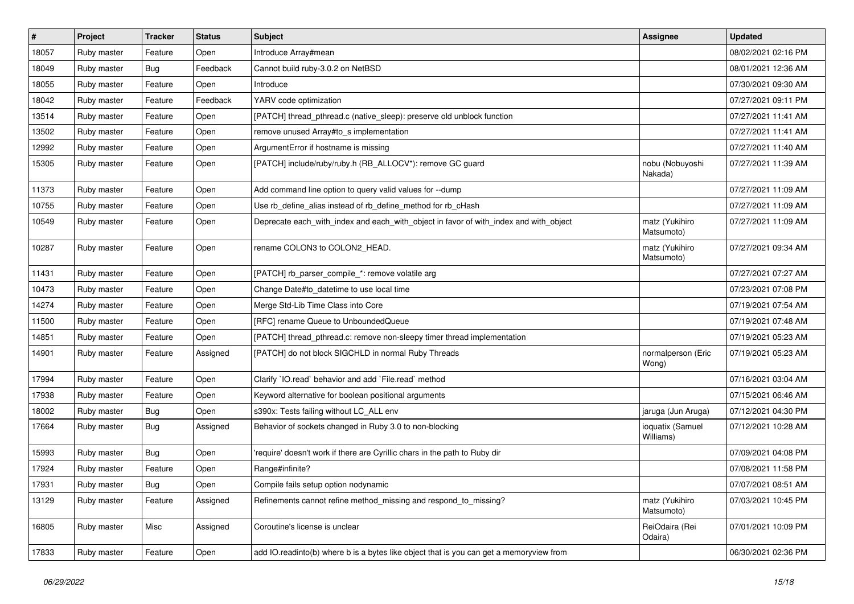| $\vert$ # | Project     | <b>Tracker</b> | <b>Status</b> | <b>Subject</b>                                                                          | <b>Assignee</b>               | <b>Updated</b>      |
|-----------|-------------|----------------|---------------|-----------------------------------------------------------------------------------------|-------------------------------|---------------------|
| 18057     | Ruby master | Feature        | Open          | Introduce Array#mean                                                                    |                               | 08/02/2021 02:16 PM |
| 18049     | Ruby master | <b>Bug</b>     | Feedback      | Cannot build ruby-3.0.2 on NetBSD                                                       |                               | 08/01/2021 12:36 AM |
| 18055     | Ruby master | Feature        | Open          | Introduce                                                                               |                               | 07/30/2021 09:30 AM |
| 18042     | Ruby master | Feature        | Feedback      | YARV code optimization                                                                  |                               | 07/27/2021 09:11 PM |
| 13514     | Ruby master | Feature        | Open          | [PATCH] thread_pthread.c (native_sleep): preserve old unblock function                  |                               | 07/27/2021 11:41 AM |
| 13502     | Ruby master | Feature        | Open          | remove unused Array#to s implementation                                                 |                               | 07/27/2021 11:41 AM |
| 12992     | Ruby master | Feature        | Open          | ArgumentError if hostname is missing                                                    |                               | 07/27/2021 11:40 AM |
| 15305     | Ruby master | Feature        | Open          | [PATCH] include/ruby/ruby.h (RB_ALLOCV*): remove GC guard                               | nobu (Nobuyoshi<br>Nakada)    | 07/27/2021 11:39 AM |
| 11373     | Ruby master | Feature        | Open          | Add command line option to query valid values for --dump                                |                               | 07/27/2021 11:09 AM |
| 10755     | Ruby master | Feature        | Open          | Use rb_define_alias instead of rb_define_method for rb_cHash                            |                               | 07/27/2021 11:09 AM |
| 10549     | Ruby master | Feature        | Open          | Deprecate each_with_index and each_with_object in favor of with_index and with_object   | matz (Yukihiro<br>Matsumoto)  | 07/27/2021 11:09 AM |
| 10287     | Ruby master | Feature        | Open          | rename COLON3 to COLON2_HEAD.                                                           | matz (Yukihiro<br>Matsumoto)  | 07/27/2021 09:34 AM |
| 11431     | Ruby master | Feature        | Open          | [PATCH] rb_parser_compile_*: remove volatile arg                                        |                               | 07/27/2021 07:27 AM |
| 10473     | Ruby master | Feature        | Open          | Change Date#to_datetime to use local time                                               |                               | 07/23/2021 07:08 PM |
| 14274     | Ruby master | Feature        | Open          | Merge Std-Lib Time Class into Core                                                      |                               | 07/19/2021 07:54 AM |
| 11500     | Ruby master | Feature        | Open          | [RFC] rename Queue to UnboundedQueue                                                    |                               | 07/19/2021 07:48 AM |
| 14851     | Ruby master | Feature        | Open          | [PATCH] thread_pthread.c: remove non-sleepy timer thread implementation                 |                               | 07/19/2021 05:23 AM |
| 14901     | Ruby master | Feature        | Assigned      | [PATCH] do not block SIGCHLD in normal Ruby Threads                                     | normalperson (Eric<br>Wong)   | 07/19/2021 05:23 AM |
| 17994     | Ruby master | Feature        | Open          | Clarify `IO.read` behavior and add `File.read` method                                   |                               | 07/16/2021 03:04 AM |
| 17938     | Ruby master | Feature        | Open          | Keyword alternative for boolean positional arguments                                    |                               | 07/15/2021 06:46 AM |
| 18002     | Ruby master | Bug            | Open          | s390x: Tests failing without LC_ALL env                                                 | jaruga (Jun Aruga)            | 07/12/2021 04:30 PM |
| 17664     | Ruby master | <b>Bug</b>     | Assigned      | Behavior of sockets changed in Ruby 3.0 to non-blocking                                 | ioquatix (Samuel<br>Williams) | 07/12/2021 10:28 AM |
| 15993     | Ruby master | Bug            | Open          | 'require' doesn't work if there are Cyrillic chars in the path to Ruby dir              |                               | 07/09/2021 04:08 PM |
| 17924     | Ruby master | Feature        | Open          | Range#infinite?                                                                         |                               | 07/08/2021 11:58 PM |
| 17931     | Ruby master | <b>Bug</b>     | Open          | Compile fails setup option nodynamic                                                    |                               | 07/07/2021 08:51 AM |
| 13129     | Ruby master | Feature        | Assigned      | Refinements cannot refine method_missing and respond_to_missing?                        | matz (Yukihiro<br>Matsumoto)  | 07/03/2021 10:45 PM |
| 16805     | Ruby master | Misc           | Assigned      | Coroutine's license is unclear                                                          | ReiOdaira (Rei<br>Odaira)     | 07/01/2021 10:09 PM |
| 17833     | Ruby master | Feature        | Open          | add IO.readinto(b) where b is a bytes like object that is you can get a memoryview from |                               | 06/30/2021 02:36 PM |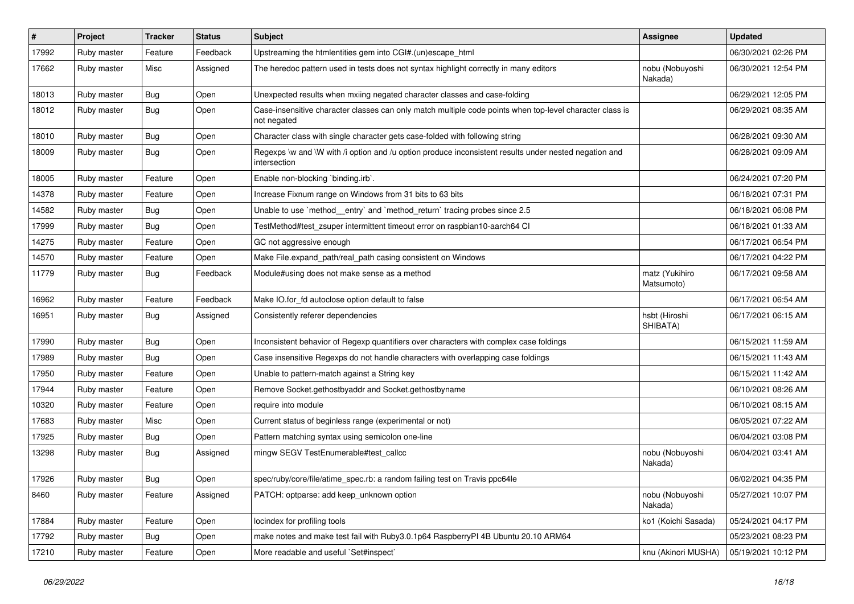| #     | Project     | <b>Tracker</b> | <b>Status</b> | <b>Subject</b>                                                                                                          | <b>Assignee</b>              | <b>Updated</b>      |
|-------|-------------|----------------|---------------|-------------------------------------------------------------------------------------------------------------------------|------------------------------|---------------------|
| 17992 | Ruby master | Feature        | Feedback      | Upstreaming the htmlentities gem into CGI#.(un)escape_html                                                              |                              | 06/30/2021 02:26 PM |
| 17662 | Ruby master | Misc           | Assigned      | The heredoc pattern used in tests does not syntax highlight correctly in many editors                                   | nobu (Nobuyoshi<br>Nakada)   | 06/30/2021 12:54 PM |
| 18013 | Ruby master | Bug            | Open          | Unexpected results when mxiing negated character classes and case-folding                                               |                              | 06/29/2021 12:05 PM |
| 18012 | Ruby master | <b>Bug</b>     | Open          | Case-insensitive character classes can only match multiple code points when top-level character class is<br>not negated |                              | 06/29/2021 08:35 AM |
| 18010 | Ruby master | Bug            | Open          | Character class with single character gets case-folded with following string                                            |                              | 06/28/2021 09:30 AM |
| 18009 | Ruby master | Bug            | Open          | Regexps \w and \W with /i option and /u option produce inconsistent results under nested negation and<br>intersection   |                              | 06/28/2021 09:09 AM |
| 18005 | Ruby master | Feature        | Open          | Enable non-blocking 'binding.irb'.                                                                                      |                              | 06/24/2021 07:20 PM |
| 14378 | Ruby master | Feature        | Open          | Increase Fixnum range on Windows from 31 bits to 63 bits                                                                |                              | 06/18/2021 07:31 PM |
| 14582 | Ruby master | <b>Bug</b>     | Open          | Unable to use `method_entry` and `method_return` tracing probes since 2.5                                               |                              | 06/18/2021 06:08 PM |
| 17999 | Ruby master | Bug            | Open          | TestMethod#test_zsuper intermittent timeout error on raspbian10-aarch64 CI                                              |                              | 06/18/2021 01:33 AM |
| 14275 | Ruby master | Feature        | Open          | GC not aggressive enough                                                                                                |                              | 06/17/2021 06:54 PM |
| 14570 | Ruby master | Feature        | Open          | Make File.expand_path/real_path casing consistent on Windows                                                            |                              | 06/17/2021 04:22 PM |
| 11779 | Ruby master | Bug            | Feedback      | Module#using does not make sense as a method                                                                            | matz (Yukihiro<br>Matsumoto) | 06/17/2021 09:58 AM |
| 16962 | Ruby master | Feature        | Feedback      | Make IO.for_fd autoclose option default to false                                                                        |                              | 06/17/2021 06:54 AM |
| 16951 | Ruby master | Bug            | Assigned      | Consistently referer dependencies                                                                                       | hsbt (Hiroshi<br>SHIBATA)    | 06/17/2021 06:15 AM |
| 17990 | Ruby master | Bug            | Open          | Inconsistent behavior of Regexp quantifiers over characters with complex case foldings                                  |                              | 06/15/2021 11:59 AM |
| 17989 | Ruby master | Bug            | Open          | Case insensitive Regexps do not handle characters with overlapping case foldings                                        |                              | 06/15/2021 11:43 AM |
| 17950 | Ruby master | Feature        | Open          | Unable to pattern-match against a String key                                                                            |                              | 06/15/2021 11:42 AM |
| 17944 | Ruby master | Feature        | Open          | Remove Socket.gethostbyaddr and Socket.gethostbyname                                                                    |                              | 06/10/2021 08:26 AM |
| 10320 | Ruby master | Feature        | Open          | require into module                                                                                                     |                              | 06/10/2021 08:15 AM |
| 17683 | Ruby master | Misc           | Open          | Current status of beginless range (experimental or not)                                                                 |                              | 06/05/2021 07:22 AM |
| 17925 | Ruby master | <b>Bug</b>     | Open          | Pattern matching syntax using semicolon one-line                                                                        |                              | 06/04/2021 03:08 PM |
| 13298 | Ruby master | <b>Bug</b>     | Assigned      | mingw SEGV TestEnumerable#test_callcc                                                                                   | nobu (Nobuyoshi<br>Nakada)   | 06/04/2021 03:41 AM |
| 17926 | Ruby master | Bug            | Open          | spec/ruby/core/file/atime_spec.rb: a random failing test on Travis ppc64le                                              |                              | 06/02/2021 04:35 PM |
| 8460  | Ruby master | Feature        | Assigned      | PATCH: optparse: add keep_unknown option                                                                                | nobu (Nobuyoshi<br>Nakada)   | 05/27/2021 10:07 PM |
| 17884 | Ruby master | Feature        | Open          | locindex for profiling tools                                                                                            | ko1 (Koichi Sasada)          | 05/24/2021 04:17 PM |
| 17792 | Ruby master | Bug            | Open          | make notes and make test fail with Ruby3.0.1p64 RaspberryPI 4B Ubuntu 20.10 ARM64                                       |                              | 05/23/2021 08:23 PM |
| 17210 | Ruby master | Feature        | Open          | More readable and useful `Set#inspect`                                                                                  | knu (Akinori MUSHA)          | 05/19/2021 10:12 PM |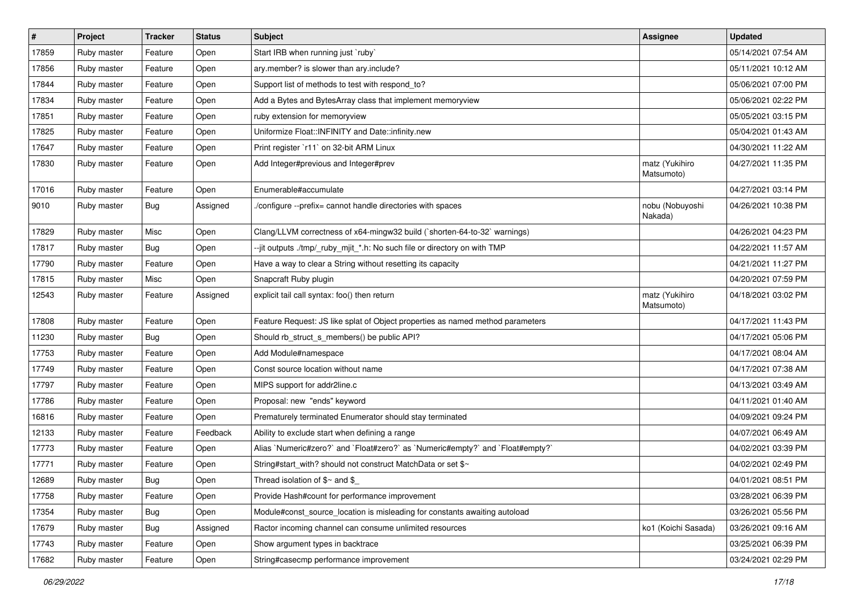| $\sharp$ | Project     | <b>Tracker</b> | <b>Status</b> | <b>Subject</b>                                                                 | <b>Assignee</b>              | <b>Updated</b>      |
|----------|-------------|----------------|---------------|--------------------------------------------------------------------------------|------------------------------|---------------------|
| 17859    | Ruby master | Feature        | Open          | Start IRB when running just `ruby`                                             |                              | 05/14/2021 07:54 AM |
| 17856    | Ruby master | Feature        | Open          | ary.member? is slower than ary.include?                                        |                              | 05/11/2021 10:12 AM |
| 17844    | Ruby master | Feature        | Open          | Support list of methods to test with respond to?                               |                              | 05/06/2021 07:00 PM |
| 17834    | Ruby master | Feature        | Open          | Add a Bytes and BytesArray class that implement memoryview                     |                              | 05/06/2021 02:22 PM |
| 17851    | Ruby master | Feature        | Open          | ruby extension for memoryview                                                  |                              | 05/05/2021 03:15 PM |
| 17825    | Ruby master | Feature        | Open          | Uniformize Float::INFINITY and Date::infinity.new                              |                              | 05/04/2021 01:43 AM |
| 17647    | Ruby master | Feature        | Open          | Print register `r11` on 32-bit ARM Linux                                       |                              | 04/30/2021 11:22 AM |
| 17830    | Ruby master | Feature        | Open          | Add Integer#previous and Integer#prev                                          | matz (Yukihiro<br>Matsumoto) | 04/27/2021 11:35 PM |
| 17016    | Ruby master | Feature        | Open          | Enumerable#accumulate                                                          |                              | 04/27/2021 03:14 PM |
| 9010     | Ruby master | Bug            | Assigned      | ./configure --prefix= cannot handle directories with spaces                    | nobu (Nobuyoshi<br>Nakada)   | 04/26/2021 10:38 PM |
| 17829    | Ruby master | Misc           | Open          | Clang/LLVM correctness of x64-mingw32 build (`shorten-64-to-32` warnings)      |                              | 04/26/2021 04:23 PM |
| 17817    | Ruby master | Bug            | Open          | --jit outputs ./tmp/_ruby_mjit_*.h: No such file or directory on with TMP      |                              | 04/22/2021 11:57 AM |
| 17790    | Ruby master | Feature        | Open          | Have a way to clear a String without resetting its capacity                    |                              | 04/21/2021 11:27 PM |
| 17815    | Ruby master | Misc           | Open          | Snapcraft Ruby plugin                                                          |                              | 04/20/2021 07:59 PM |
| 12543    | Ruby master | Feature        | Assigned      | explicit tail call syntax: foo() then return                                   | matz (Yukihiro<br>Matsumoto) | 04/18/2021 03:02 PM |
| 17808    | Ruby master | Feature        | Open          | Feature Request: JS like splat of Object properties as named method parameters |                              | 04/17/2021 11:43 PM |
| 11230    | Ruby master | <b>Bug</b>     | Open          | Should rb_struct_s_members() be public API?                                    |                              | 04/17/2021 05:06 PM |
| 17753    | Ruby master | Feature        | Open          | Add Module#namespace                                                           |                              | 04/17/2021 08:04 AM |
| 17749    | Ruby master | Feature        | Open          | Const source location without name                                             |                              | 04/17/2021 07:38 AM |
| 17797    | Ruby master | Feature        | Open          | MIPS support for addr2line.c                                                   |                              | 04/13/2021 03:49 AM |
| 17786    | Ruby master | Feature        | Open          | Proposal: new "ends" keyword                                                   |                              | 04/11/2021 01:40 AM |
| 16816    | Ruby master | Feature        | Open          | Prematurely terminated Enumerator should stay terminated                       |                              | 04/09/2021 09:24 PM |
| 12133    | Ruby master | Feature        | Feedback      | Ability to exclude start when defining a range                                 |                              | 04/07/2021 06:49 AM |
| 17773    | Ruby master | Feature        | Open          | Alias `Numeric#zero?` and `Float#zero?` as `Numeric#empty?` and `Float#empty?` |                              | 04/02/2021 03:39 PM |
| 17771    | Ruby master | Feature        | Open          | String#start_with? should not construct MatchData or set \$~                   |                              | 04/02/2021 02:49 PM |
| 12689    | Ruby master | Bug            | Open          | Thread isolation of $\gamma$ and $\gamma$                                      |                              | 04/01/2021 08:51 PM |
| 17758    | Ruby master | Feature        | Open          | Provide Hash#count for performance improvement                                 |                              | 03/28/2021 06:39 PM |
| 17354    | Ruby master | Bug            | Open          | Module#const_source_location is misleading for constants awaiting autoload     |                              | 03/26/2021 05:56 PM |
| 17679    | Ruby master | <b>Bug</b>     | Assigned      | Ractor incoming channel can consume unlimited resources                        | ko1 (Koichi Sasada)          | 03/26/2021 09:16 AM |
| 17743    | Ruby master | Feature        | Open          | Show argument types in backtrace                                               |                              | 03/25/2021 06:39 PM |
| 17682    | Ruby master | Feature        | Open          | String#casecmp performance improvement                                         |                              | 03/24/2021 02:29 PM |